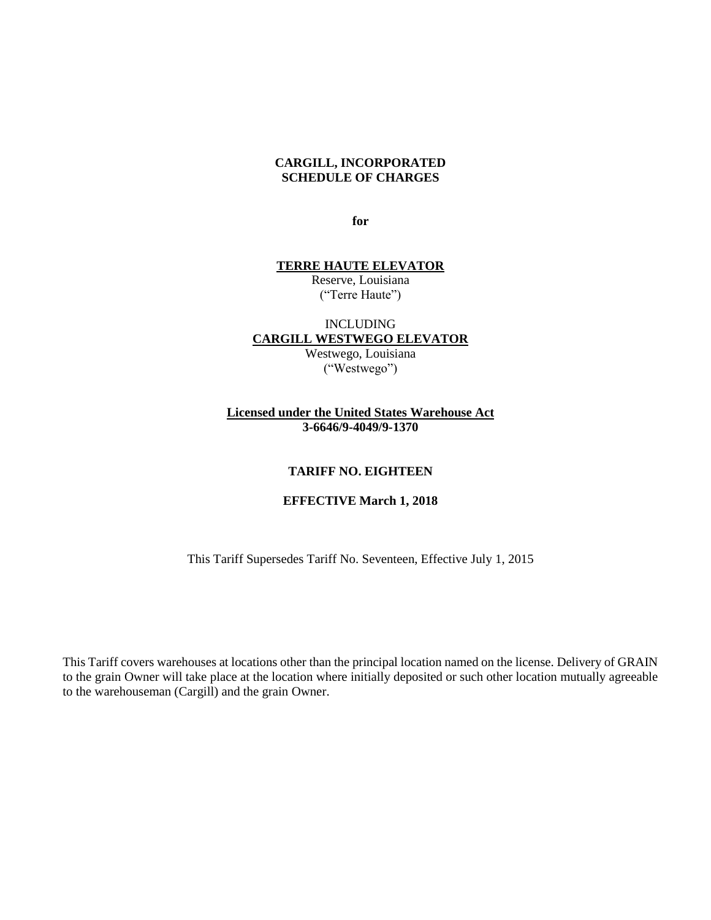#### **CARGILL, INCORPORATED SCHEDULE OF CHARGES**

**for**

#### **TERRE HAUTE ELEVATOR**

Reserve, Louisiana ("Terre Haute")

# INCLUDING **CARGILL WESTWEGO ELEVATOR**

Westwego, Louisiana ("Westwego")

# **Licensed under the United States Warehouse Act 3-6646/9-4049/9-1370**

# **TARIFF NO. EIGHTEEN**

### **EFFECTIVE March 1, 2018**

This Tariff Supersedes Tariff No. Seventeen, Effective July 1, 2015

This Tariff covers warehouses at locations other than the principal location named on the license. Delivery of GRAIN to the grain Owner will take place at the location where initially deposited or such other location mutually agreeable to the warehouseman (Cargill) and the grain Owner.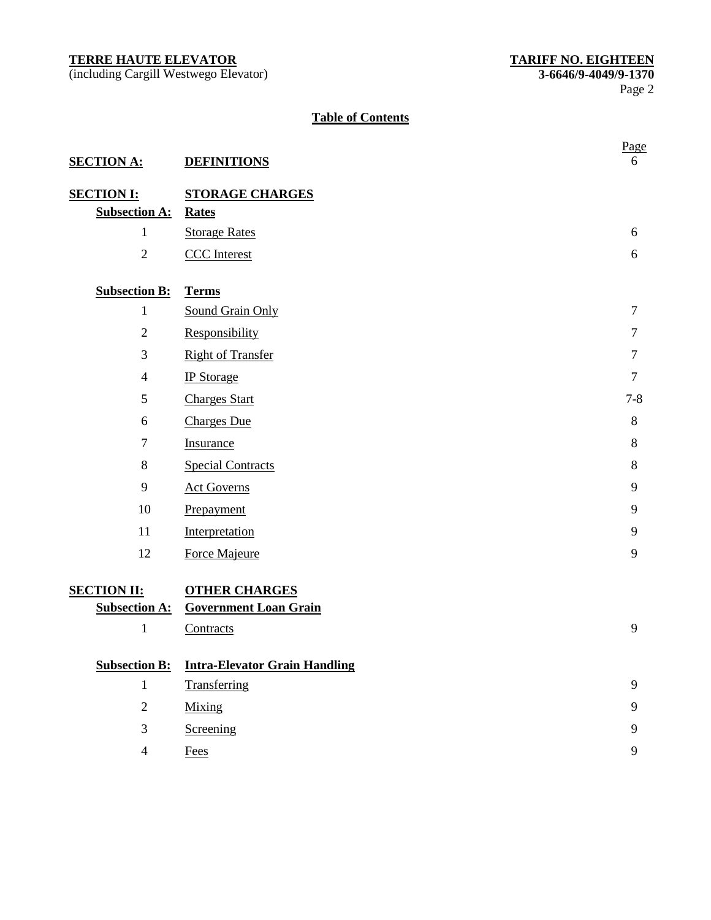(including Cargill Westwego Elevator) **3-6646/9-4049/9-1370**

# **Table of Contents**

|                                            |                                                      | Page           |
|--------------------------------------------|------------------------------------------------------|----------------|
| <b>SECTION A:</b>                          | <b>DEFINITIONS</b>                                   | 6              |
| <b>SECTION I:</b>                          | <b>STORAGE CHARGES</b>                               |                |
| <b>Subsection A:</b>                       | <b>Rates</b>                                         |                |
| $\mathbf{1}$                               | <b>Storage Rates</b>                                 | 6              |
| $\overline{2}$                             | <b>CCC</b> Interest                                  | 6              |
| <b>Subsection B:</b>                       | <b>Terms</b>                                         |                |
| $\mathbf{1}$                               | <b>Sound Grain Only</b>                              | $\overline{7}$ |
| $\overline{2}$                             | Responsibility                                       | $\tau$         |
| 3                                          | <b>Right of Transfer</b>                             | $\tau$         |
| $\overline{4}$                             | <b>IP</b> Storage                                    | $\overline{7}$ |
| 5                                          | <b>Charges Start</b>                                 | $7 - 8$        |
| 6                                          | <b>Charges Due</b>                                   | $\, 8$         |
| $\tau$                                     | Insurance                                            | 8              |
| $8\,$                                      | <b>Special Contracts</b>                             | 8              |
| 9                                          | <b>Act Governs</b>                                   | 9              |
| 10                                         | Prepayment                                           | 9              |
| 11                                         | Interpretation                                       | 9              |
| 12                                         | <b>Force Majeure</b>                                 | 9              |
| <b>SECTION II:</b><br><b>Subsection A:</b> | <b>OTHER CHARGES</b><br><b>Government Loan Grain</b> |                |
| $\mathbf{1}$                               | Contracts                                            | 9              |
| <b>Subsection B:</b>                       | <b>Intra-Elevator Grain Handling</b>                 |                |
| $\mathbf{1}$                               | Transferring                                         | 9              |
| $\mathbf{2}$                               | Mixing                                               | 9              |
| $\mathfrak{Z}$                             | Screening                                            | 9              |
| $\overline{4}$                             | <b>Fees</b>                                          | 9              |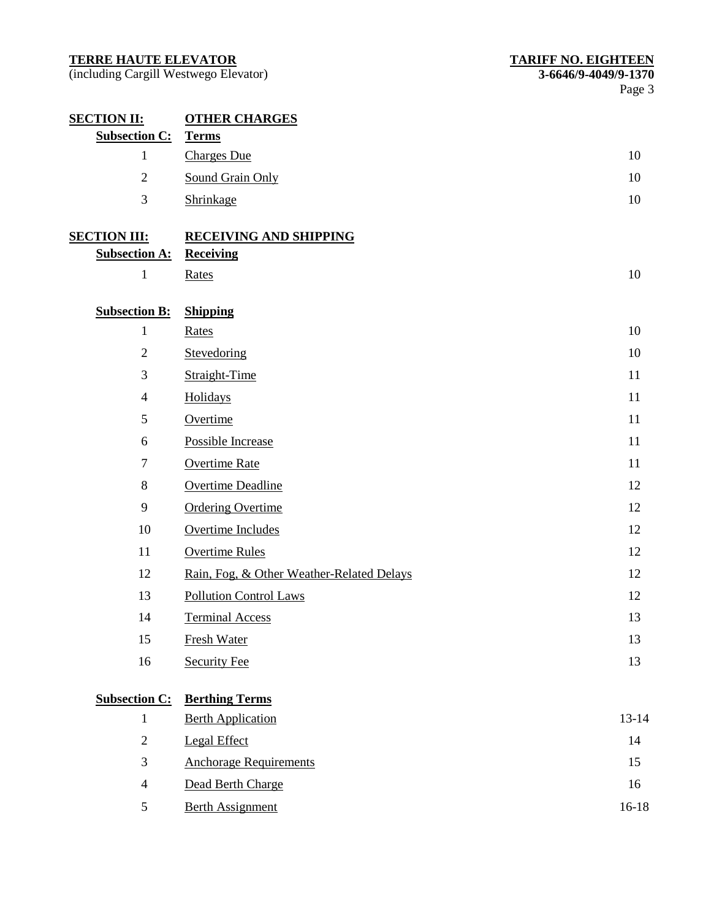(including Cargill Westwego Elevator) **3-6646/9-4049/9-1370**

| <b>SECTION II:</b>   | <b>OTHER CHARGES</b>                      |           |
|----------------------|-------------------------------------------|-----------|
| <b>Subsection C:</b> | <b>Terms</b>                              |           |
| $\mathbf{1}$         | <b>Charges Due</b>                        | 10        |
| $\overline{2}$       | Sound Grain Only                          | 10        |
| 3                    | Shrinkage                                 | 10        |
| <b>SECTION III:</b>  | <b>RECEIVING AND SHIPPING</b>             |           |
| <b>Subsection A:</b> | <b>Receiving</b>                          |           |
| $\mathbf{1}$         | Rates                                     | 10        |
| <b>Subsection B:</b> | <b>Shipping</b>                           |           |
| $\mathbf{1}$         | Rates                                     | 10        |
| $\sqrt{2}$           | Stevedoring                               | 10        |
| $\mathfrak{Z}$       | Straight-Time                             | 11        |
| $\overline{4}$       | Holidays                                  | 11        |
| 5                    | Overtime                                  | 11        |
| $6\,$                | Possible Increase                         | 11        |
| $\boldsymbol{7}$     | <b>Overtime Rate</b>                      | 11        |
| $\,8\,$              | <b>Overtime Deadline</b>                  | 12        |
| 9                    | <b>Ordering Overtime</b>                  | 12        |
| 10                   | Overtime Includes                         | 12        |
| 11                   | <b>Overtime Rules</b>                     | 12        |
| 12                   | Rain, Fog, & Other Weather-Related Delays | 12        |
| 13                   | <b>Pollution Control Laws</b>             | 12        |
| 14                   | <b>Terminal Access</b>                    | 13        |
| 15                   | Fresh Water                               | 13        |
| 16                   | <b>Security Fee</b>                       | 13        |
| <b>Subsection C:</b> | <b>Berthing Terms</b>                     |           |
| $\mathbf{1}$         | <b>Berth Application</b>                  | $13 - 14$ |
| $\sqrt{2}$           | Legal Effect                              | 14        |
| $\mathfrak{Z}$       | <b>Anchorage Requirements</b>             | 15        |
| $\overline{4}$       | Dead Berth Charge                         | 16        |
| $\mathfrak{S}$       | <b>Berth Assignment</b>                   | $16-18$   |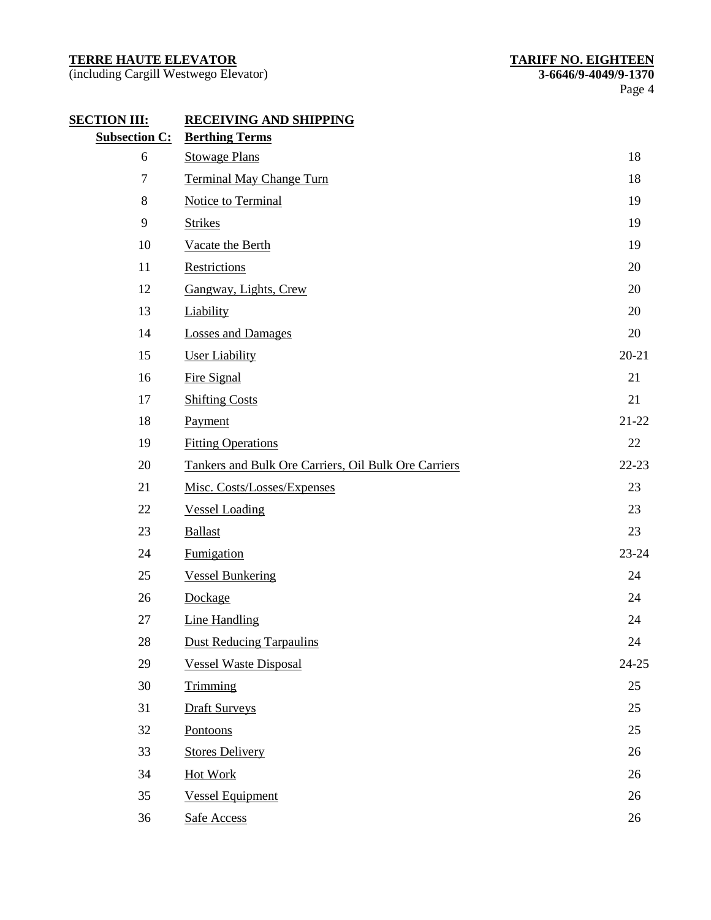(including Cargill Westwego Elevator) **3-6646/9-4049/9-1370**

| <b>SECTION III:</b>  | <b>RECEIVING AND SHIPPING</b>                        |           |
|----------------------|------------------------------------------------------|-----------|
| <b>Subsection C:</b> | <b>Berthing Terms</b>                                |           |
| 6                    | <b>Stowage Plans</b>                                 | 18        |
| $\tau$               | <b>Terminal May Change Turn</b>                      | 18        |
| $8\,$                | <b>Notice to Terminal</b>                            | 19        |
| 9                    | <b>Strikes</b>                                       | 19        |
| 10                   | Vacate the Berth                                     | 19        |
| 11                   | Restrictions                                         | 20        |
| 12                   | Gangway, Lights, Crew                                | 20        |
| 13                   | Liability                                            | 20        |
| 14                   | <b>Losses and Damages</b>                            | 20        |
| 15                   | <b>User Liability</b>                                | $20 - 21$ |
| 16                   | Fire Signal                                          | 21        |
| 17                   | <b>Shifting Costs</b>                                | 21        |
| 18                   | Payment                                              | 21-22     |
| 19                   | <b>Fitting Operations</b>                            | 22        |
| 20                   | Tankers and Bulk Ore Carriers, Oil Bulk Ore Carriers | $22 - 23$ |
| 21                   | Misc. Costs/Losses/Expenses                          | 23        |
| 22                   | <b>Vessel Loading</b>                                | 23        |
| 23                   | <b>Ballast</b>                                       | 23        |
| 24                   | <b>Fumigation</b>                                    | 23-24     |
| 25                   | <b>Vessel Bunkering</b>                              | 24        |
| 26                   | Dockage                                              | 24        |
| 27                   | <b>Line Handling</b>                                 | 24        |
| 28                   | <b>Dust Reducing Tarpaulins</b>                      | 24        |
| 29                   | <b>Vessel Waste Disposal</b>                         | $24 - 25$ |
| 30                   | Trimming                                             | 25        |
| 31                   | <b>Draft Surveys</b>                                 | 25        |
| 32                   | Pontoons                                             | 25        |
| 33                   | <b>Stores Delivery</b>                               | 26        |
| 34                   | <b>Hot Work</b>                                      | 26        |
| 35                   | <b>Vessel Equipment</b>                              | 26        |
| 36                   | <b>Safe Access</b>                                   | 26        |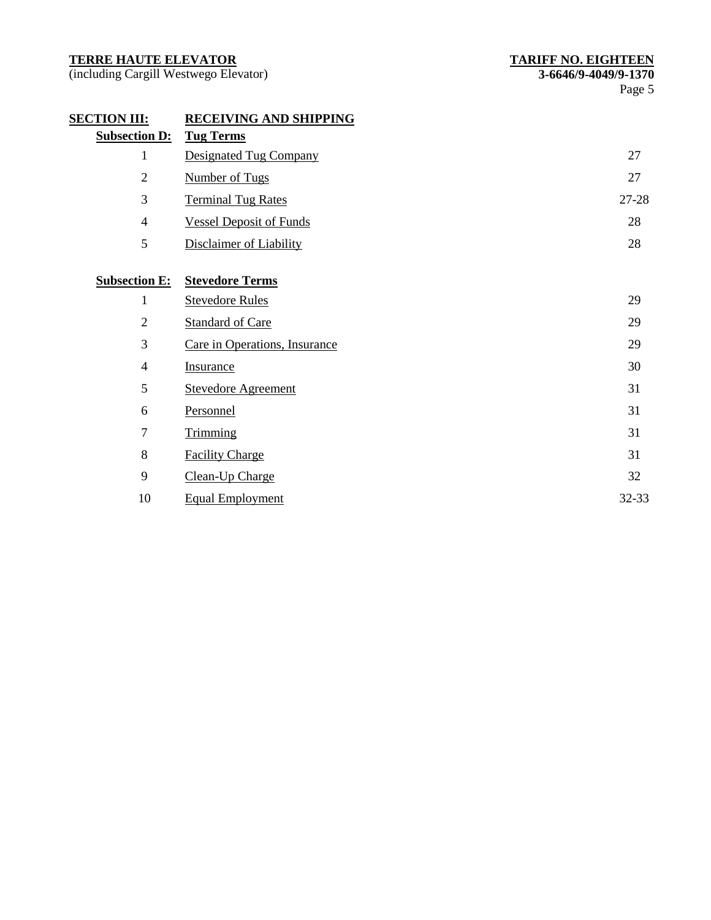(including Cargill Westwego Elevator) **3-6646/9-4049/9-1370**

| <b>SECTION III:</b>  | <b>RECEIVING AND SHIPPING</b>  |       |
|----------------------|--------------------------------|-------|
| <b>Subsection D:</b> | <b>Tug Terms</b>               |       |
| 1                    | Designated Tug Company         | 27    |
| $\overline{2}$       | <b>Number of Tugs</b>          | 27    |
| 3                    | <b>Terminal Tug Rates</b>      | 27-28 |
| $\overline{4}$       | <b>Vessel Deposit of Funds</b> | 28    |
| 5                    | <b>Disclaimer of Liability</b> | 28    |
|                      |                                |       |
| <b>Subsection E:</b> | <b>Stevedore Terms</b>         |       |
| $\mathbf{1}$         | <b>Stevedore Rules</b>         | 29    |
| $\overline{2}$       | <b>Standard of Care</b>        | 29    |
| 3                    | Care in Operations, Insurance  | 29    |
| $\overline{4}$       | Insurance                      | 30    |
| 5                    | <b>Stevedore Agreement</b>     | 31    |
| 6                    | Personnel                      | 31    |
| 7                    | <b>Trimming</b>                | 31    |
| 8                    | <b>Facility Charge</b>         | 31    |
| 9                    | Clean-Up Charge                | 32    |
| 10                   | <b>Equal Employment</b>        | 32-33 |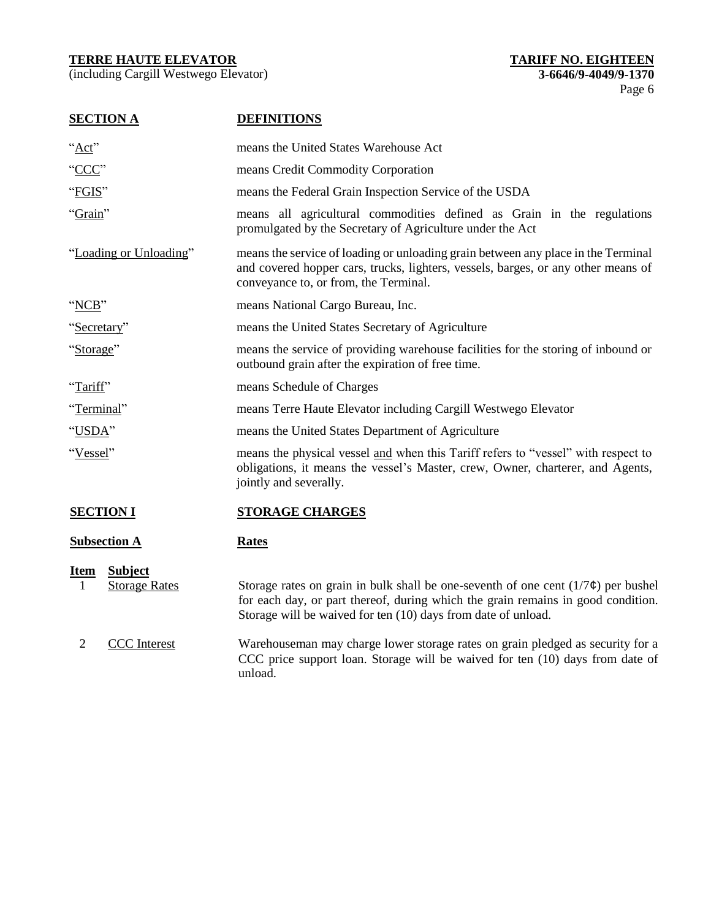(including Cargill Westwego Elevator) **3-6646/9-4049/9-1370**

| <b>SECTION A</b>                                                             | <b>DEFINITIONS</b>                                                                                                                                                                                                                          |
|------------------------------------------------------------------------------|---------------------------------------------------------------------------------------------------------------------------------------------------------------------------------------------------------------------------------------------|
| "Act"                                                                        | means the United States Warehouse Act                                                                                                                                                                                                       |
| <u>"CCC</u> "                                                                | means Credit Commodity Corporation                                                                                                                                                                                                          |
| "FGIS"                                                                       | means the Federal Grain Inspection Service of the USDA                                                                                                                                                                                      |
| "Grain"                                                                      | means all agricultural commodities defined as Grain in the regulations<br>promulgated by the Secretary of Agriculture under the Act                                                                                                         |
| "Loading or Unloading"                                                       | means the service of loading or unloading grain between any place in the Terminal<br>and covered hopper cars, trucks, lighters, vessels, barges, or any other means of<br>conveyance to, or from, the Terminal.                             |
| "NCB"                                                                        | means National Cargo Bureau, Inc.                                                                                                                                                                                                           |
| "Secretary"                                                                  | means the United States Secretary of Agriculture                                                                                                                                                                                            |
| "Storage"                                                                    | means the service of providing warehouse facilities for the storing of inbound or<br>outbound grain after the expiration of free time.                                                                                                      |
| "Tariff"                                                                     | means Schedule of Charges                                                                                                                                                                                                                   |
| "Terminal"<br>means Terre Haute Elevator including Cargill Westwego Elevator |                                                                                                                                                                                                                                             |
| "USDA"                                                                       | means the United States Department of Agriculture                                                                                                                                                                                           |
| "Vessel"                                                                     | means the physical vessel and when this Tariff refers to "vessel" with respect to<br>obligations, it means the vessel's Master, crew, Owner, charterer, and Agents,<br>jointly and severally.                                               |
| <b>SECTION I</b>                                                             | <b>STORAGE CHARGES</b>                                                                                                                                                                                                                      |
| <b>Subsection A</b>                                                          | <b>Rates</b>                                                                                                                                                                                                                                |
| <b>Subject</b><br><b>Item</b><br><b>Storage Rates</b><br>1                   | Storage rates on grain in bulk shall be one-seventh of one cent $(1/7\phi)$ per bushel<br>for each day, or part thereof, during which the grain remains in good condition.<br>Storage will be waived for ten (10) days from date of unload. |
| $\overline{2}$<br><b>CCC</b> Interest                                        | Warehouseman may charge lower storage rates on grain pledged as security for a<br>CCC price support loan. Storage will be waived for ten (10) days from date of                                                                             |

unload.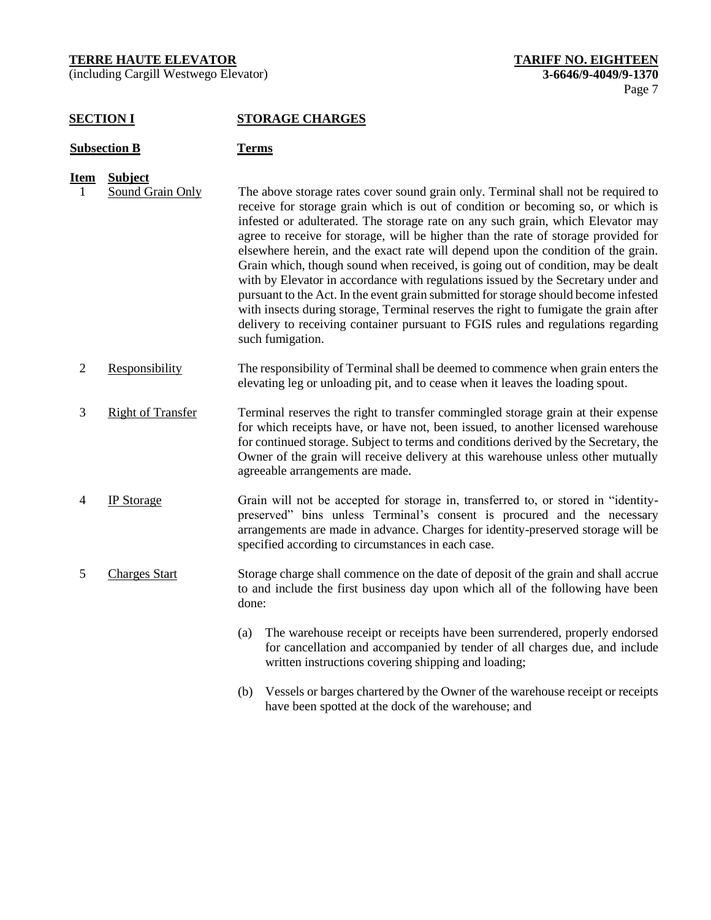(including Cargill Westwego Elevator) **3-6646/9-4049/9-1370**

# **SECTION I STORAGE CHARGES**

#### **Subsection B Terms**

- **Item Subject**
	- 1 Sound Grain Only The above storage rates cover sound grain only. Terminal shall not be required to receive for storage grain which is out of condition or becoming so, or which is infested or adulterated. The storage rate on any such grain, which Elevator may agree to receive for storage, will be higher than the rate of storage provided for elsewhere herein, and the exact rate will depend upon the condition of the grain. Grain which, though sound when received, is going out of condition, may be dealt with by Elevator in accordance with regulations issued by the Secretary under and pursuant to the Act. In the event grain submitted for storage should become infested with insects during storage, Terminal reserves the right to fumigate the grain after delivery to receiving container pursuant to FGIS rules and regulations regarding such fumigation.
	- 2 Responsibility The responsibility of Terminal shall be deemed to commence when grain enters the elevating leg or unloading pit, and to cease when it leaves the loading spout.
	- 3 Right of Transfer Terminal reserves the right to transfer commingled storage grain at their expense for which receipts have, or have not, been issued, to another licensed warehouse for continued storage. Subject to terms and conditions derived by the Secretary, the Owner of the grain will receive delivery at this warehouse unless other mutually agreeable arrangements are made.
	- 4 IP Storage Grain will not be accepted for storage in, transferred to, or stored in "identitypreserved" bins unless Terminal's consent is procured and the necessary arrangements are made in advance. Charges for identity-preserved storage will be specified according to circumstances in each case.
	- 5 Charges Start Storage charge shall commence on the date of deposit of the grain and shall accrue to and include the first business day upon which all of the following have been done:
		- (a) The warehouse receipt or receipts have been surrendered, properly endorsed for cancellation and accompanied by tender of all charges due, and include written instructions covering shipping and loading;
		- (b) Vessels or barges chartered by the Owner of the warehouse receipt or receipts have been spotted at the dock of the warehouse; and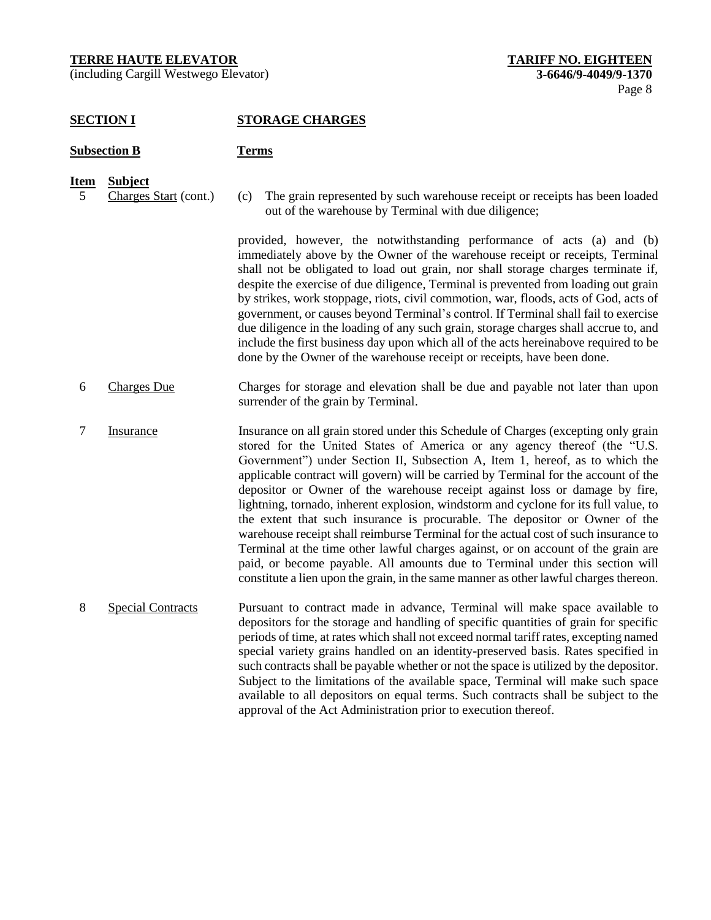(including Cargill Westwego Elevator) **3-6646/9-4049/9-1370**

# **SECTION I STORAGE CHARGES**

#### **Subsection B Terms**

- **Item Subject**
- 
- 5 Charges Start (cont.) (c) The grain represented by such warehouse receipt or receipts has been loaded out of the warehouse by Terminal with due diligence;

provided, however, the notwithstanding performance of acts (a) and (b) immediately above by the Owner of the warehouse receipt or receipts, Terminal shall not be obligated to load out grain, nor shall storage charges terminate if, despite the exercise of due diligence, Terminal is prevented from loading out grain by strikes, work stoppage, riots, civil commotion, war, floods, acts of God, acts of government, or causes beyond Terminal's control. If Terminal shall fail to exercise due diligence in the loading of any such grain, storage charges shall accrue to, and include the first business day upon which all of the acts hereinabove required to be done by the Owner of the warehouse receipt or receipts, have been done.

- 6 Charges Due Charges for storage and elevation shall be due and payable not later than upon surrender of the grain by Terminal.
- 7 Insurance Insurance on all grain stored under this Schedule of Charges (excepting only grain stored for the United States of America or any agency thereof (the "U.S. Government") under Section II, Subsection A, Item 1, hereof, as to which the applicable contract will govern) will be carried by Terminal for the account of the depositor or Owner of the warehouse receipt against loss or damage by fire, lightning, tornado, inherent explosion, windstorm and cyclone for its full value, to the extent that such insurance is procurable. The depositor or Owner of the warehouse receipt shall reimburse Terminal for the actual cost of such insurance to Terminal at the time other lawful charges against, or on account of the grain are paid, or become payable. All amounts due to Terminal under this section will constitute a lien upon the grain, in the same manner as other lawful charges thereon.
- 8 Special Contracts Pursuant to contract made in advance, Terminal will make space available to depositors for the storage and handling of specific quantities of grain for specific periods of time, at rates which shall not exceed normal tariff rates, excepting named special variety grains handled on an identity-preserved basis. Rates specified in such contracts shall be payable whether or not the space is utilized by the depositor. Subject to the limitations of the available space, Terminal will make such space available to all depositors on equal terms. Such contracts shall be subject to the approval of the Act Administration prior to execution thereof.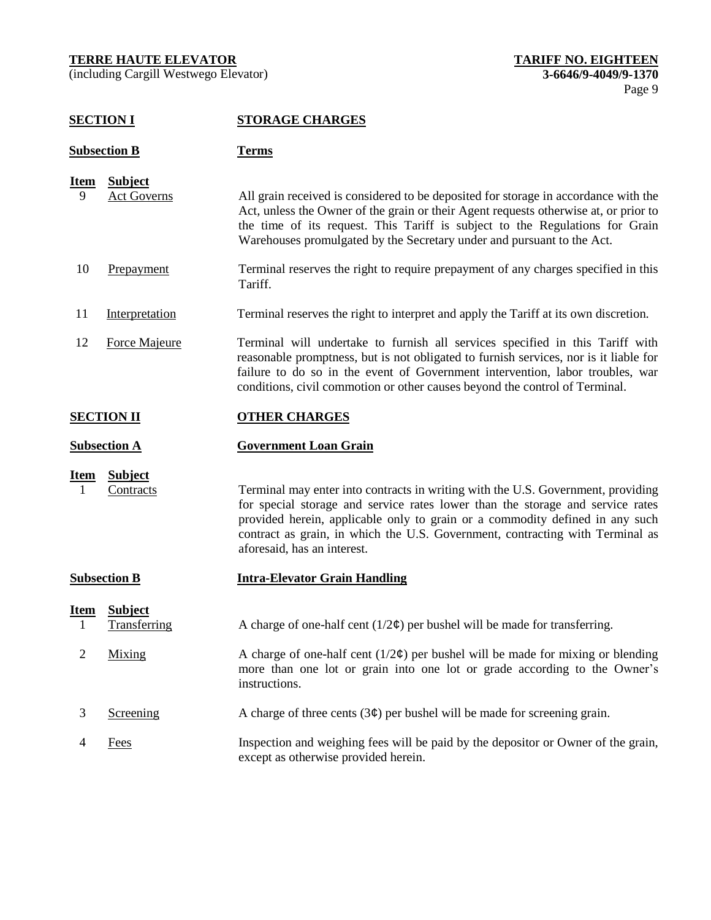(including Cargill Westwego Elevator) **3-6646/9-4049/9-1370**

# **SECTION I STORAGE CHARGES**

| <b>Subsection B</b> |                                      | <b>Terms</b>                                                                                                                                                                                                                                                                                                                                                       |
|---------------------|--------------------------------------|--------------------------------------------------------------------------------------------------------------------------------------------------------------------------------------------------------------------------------------------------------------------------------------------------------------------------------------------------------------------|
| <u>Item</u><br>9    | <b>Subject</b><br><b>Act Governs</b> | All grain received is considered to be deposited for storage in accordance with the<br>Act, unless the Owner of the grain or their Agent requests otherwise at, or prior to<br>the time of its request. This Tariff is subject to the Regulations for Grain<br>Warehouses promulgated by the Secretary under and pursuant to the Act.                              |
| 10                  | Prepayment                           | Terminal reserves the right to require prepayment of any charges specified in this<br>Tariff.                                                                                                                                                                                                                                                                      |
| 11                  | Interpretation                       | Terminal reserves the right to interpret and apply the Tariff at its own discretion.                                                                                                                                                                                                                                                                               |
| 12                  | <b>Force Majeure</b>                 | Terminal will undertake to furnish all services specified in this Tariff with<br>reasonable promptness, but is not obligated to furnish services, nor is it liable for<br>failure to do so in the event of Government intervention, labor troubles, war<br>conditions, civil commotion or other causes beyond the control of Terminal.                             |
|                     | <b>SECTION II</b>                    | <b>OTHER CHARGES</b>                                                                                                                                                                                                                                                                                                                                               |
|                     |                                      |                                                                                                                                                                                                                                                                                                                                                                    |
|                     | <b>Subsection A</b>                  | <b>Government Loan Grain</b>                                                                                                                                                                                                                                                                                                                                       |
| <b>Item</b><br>1    | <b>Subject</b><br>Contracts          | Terminal may enter into contracts in writing with the U.S. Government, providing<br>for special storage and service rates lower than the storage and service rates<br>provided herein, applicable only to grain or a commodity defined in any such<br>contract as grain, in which the U.S. Government, contracting with Terminal as<br>aforesaid, has an interest. |
|                     | <b>Subsection B</b>                  | <b>Intra-Elevator Grain Handling</b>                                                                                                                                                                                                                                                                                                                               |
| <b>Item</b><br>1    | <b>Subject</b><br>Transferring       | A charge of one-half cent $(1/2\mathcal{L})$ per bushel will be made for transferring.                                                                                                                                                                                                                                                                             |
| $\overline{2}$      | Mixing                               | A charge of one-half cent $(1/2\mathcal{C})$ per bushel will be made for mixing or blending<br>more than one lot or grain into one lot or grade according to the Owner's<br>instructions.                                                                                                                                                                          |

4 Frees Inspection and weighing fees will be paid by the depositor or Owner of the grain, except as otherwise provided herein.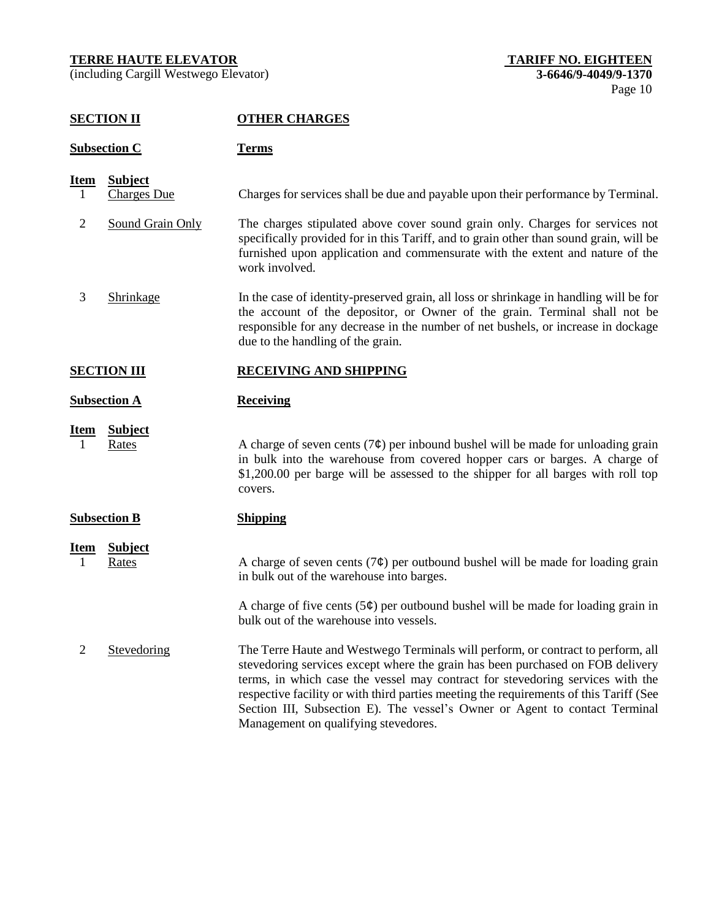(including Cargill Westwego Elevator) **3-6646/9-4049/9-1370**

# **SECTION II OTHER CHARGES**

# **Subsection C Terms**

# **Item Subject**

- 1 Charges Due Charges for services shall be due and payable upon their performance by Terminal.
- 2 Sound Grain Only The charges stipulated above cover sound grain only. Charges for services not specifically provided for in this Tariff, and to grain other than sound grain, will be furnished upon application and commensurate with the extent and nature of the work involved.
- 3 Shrinkage In the case of identity-preserved grain, all loss or shrinkage in handling will be for the account of the depositor, or Owner of the grain. Terminal shall not be responsible for any decrease in the number of net bushels, or increase in dockage due to the handling of the grain.

# **SECTION III RECEIVING AND SHIPPING**

# **Subsection A Receiving**

# **Item Subject**

1 Rates A charge of seven cents  $(7¢)$  per inbound bushel will be made for unloading grain in bulk into the warehouse from covered hopper cars or barges. A charge of \$1,200.00 per barge will be assessed to the shipper for all barges with roll top covers.

#### **Subsection B Shipping**

**Item Subject**

Rates A charge of seven cents  $(7¢)$  per outbound bushel will be made for loading grain in bulk out of the warehouse into barges.

> A charge of five cents  $(5¢)$  per outbound bushel will be made for loading grain in bulk out of the warehouse into vessels.

2 Stevedoring The Terre Haute and Westwego Terminals will perform, or contract to perform, all stevedoring services except where the grain has been purchased on FOB delivery terms, in which case the vessel may contract for stevedoring services with the respective facility or with third parties meeting the requirements of this Tariff (See Section III, Subsection E). The vessel's Owner or Agent to contact Terminal Management on qualifying stevedores.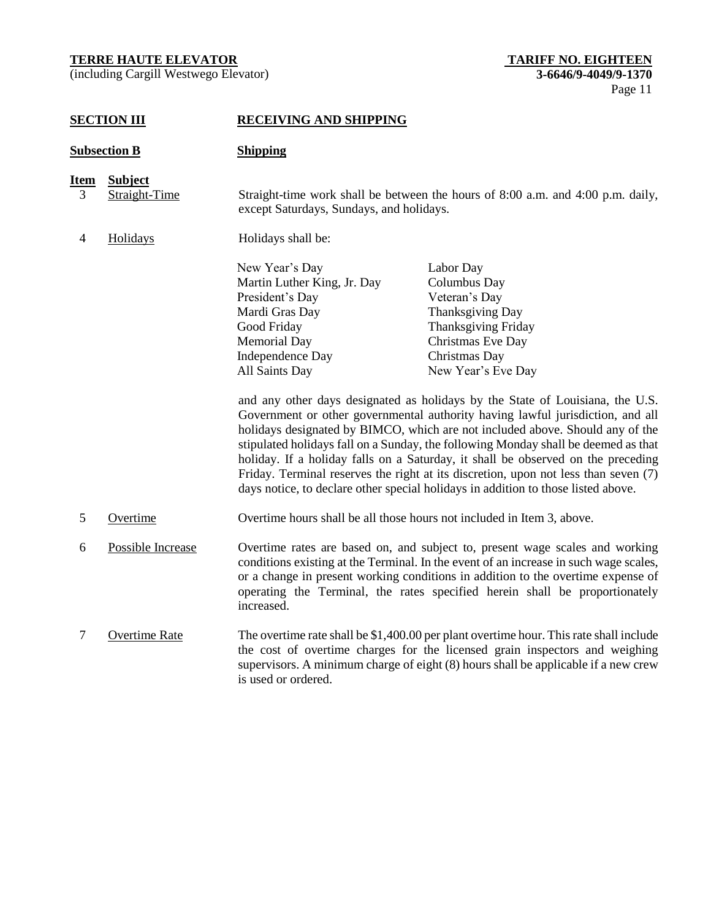(including Cargill Westwego Elevator) **3-6646/9-4049/9-1370**

# **SECTION III RECEIVING AND SHIPPING**

| <b>Subsection B</b><br><b>Shipping</b> |                                 |                                                                                                                                                                       |                                                                                                                                                                                                                                                                                                                                                                                                                                                                                                                                                                                                                                                                                                                                                                    |
|----------------------------------------|---------------------------------|-----------------------------------------------------------------------------------------------------------------------------------------------------------------------|--------------------------------------------------------------------------------------------------------------------------------------------------------------------------------------------------------------------------------------------------------------------------------------------------------------------------------------------------------------------------------------------------------------------------------------------------------------------------------------------------------------------------------------------------------------------------------------------------------------------------------------------------------------------------------------------------------------------------------------------------------------------|
| <b>Item</b><br>3                       | <b>Subject</b><br>Straight-Time | Straight-time work shall be between the hours of $8:00$ a.m. and $4:00$ p.m. daily,<br>except Saturdays, Sundays, and holidays.                                       |                                                                                                                                                                                                                                                                                                                                                                                                                                                                                                                                                                                                                                                                                                                                                                    |
| $\overline{4}$                         | Holidays                        | Holidays shall be:                                                                                                                                                    |                                                                                                                                                                                                                                                                                                                                                                                                                                                                                                                                                                                                                                                                                                                                                                    |
|                                        |                                 | New Year's Day<br>Martin Luther King, Jr. Day<br>President's Day<br>Mardi Gras Day<br>Good Friday<br><b>Memorial Day</b><br><b>Independence Day</b><br>All Saints Day | Labor Day<br>Columbus Day<br>Veteran's Day<br>Thanksgiving Day<br><b>Thanksgiving Friday</b><br>Christmas Eve Day<br>Christmas Day<br>New Year's Eve Day<br>and any other days designated as holidays by the State of Louisiana, the U.S.<br>Government or other governmental authority having lawful jurisdiction, and all<br>holidays designated by BIMCO, which are not included above. Should any of the<br>stipulated holidays fall on a Sunday, the following Monday shall be deemed as that<br>holiday. If a holiday falls on a Saturday, it shall be observed on the preceding<br>Friday. Terminal reserves the right at its discretion, upon not less than seven (7)<br>days notice, to declare other special holidays in addition to those listed above. |
| 5                                      | Overtime                        |                                                                                                                                                                       | Overtime hours shall be all those hours not included in Item 3, above.                                                                                                                                                                                                                                                                                                                                                                                                                                                                                                                                                                                                                                                                                             |
| 6                                      | Possible Increase               | increased.                                                                                                                                                            | Overtime rates are based on, and subject to, present wage scales and working<br>conditions existing at the Terminal. In the event of an increase in such wage scales,<br>or a change in present working conditions in addition to the overtime expense of<br>operating the Terminal, the rates specified herein shall be proportionately                                                                                                                                                                                                                                                                                                                                                                                                                           |
| 7                                      | Overtime Rate                   | is used or ordered.                                                                                                                                                   | The overtime rate shall be \$1,400.00 per plant overtime hour. This rate shall include<br>the cost of overtime charges for the licensed grain inspectors and weighing<br>supervisors. A minimum charge of eight (8) hours shall be applicable if a new crew                                                                                                                                                                                                                                                                                                                                                                                                                                                                                                        |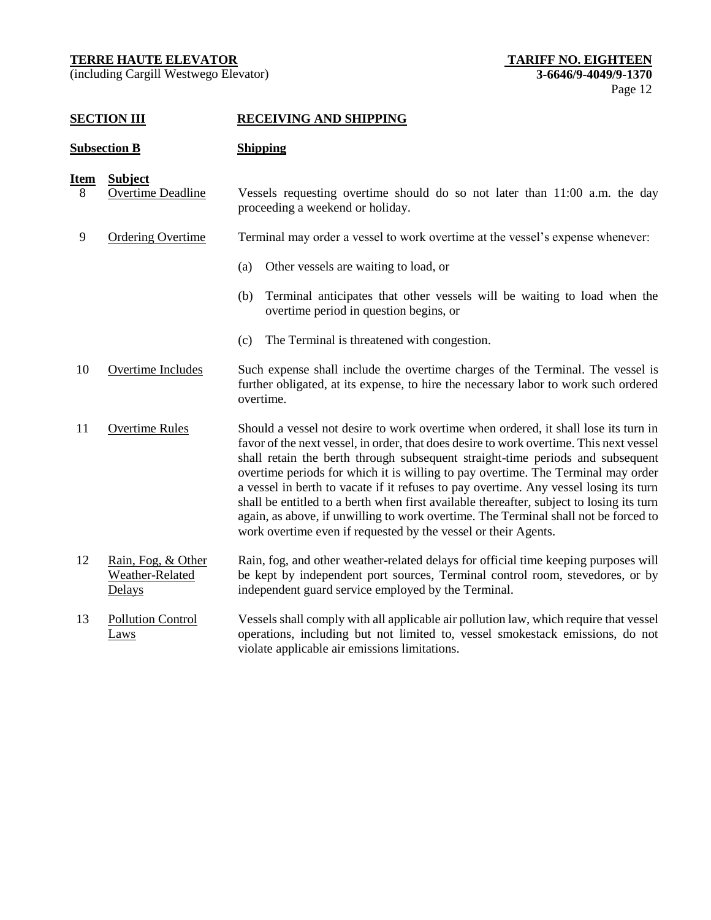(including Cargill Westwego Elevator) **3-6646/9-4049/9-1370**

# **SECTION III RECEIVING AND SHIPPING**

| <b>Subsection B</b> |
|---------------------|
|---------------------|

**Shipping** 

**Item Subject**

8 Overtime Deadline Vessels requesting overtime should do so not later than 11:00 a.m. the day proceeding a weekend or holiday.

# 9 Ordering Overtime Terminal may order a vessel to work overtime at the vessel's expense whenever:

- (a) Other vessels are waiting to load, or
- (b) Terminal anticipates that other vessels will be waiting to load when the overtime period in question begins, or
- (c) The Terminal is threatened with congestion.
- 10 Overtime Includes Such expense shall include the overtime charges of the Terminal. The vessel is further obligated, at its expense, to hire the necessary labor to work such ordered overtime.
- 11 Overtime Rules Should a vessel not desire to work overtime when ordered, it shall lose its turn in favor of the next vessel, in order, that does desire to work overtime. This next vessel shall retain the berth through subsequent straight-time periods and subsequent overtime periods for which it is willing to pay overtime. The Terminal may order a vessel in berth to vacate if it refuses to pay overtime. Any vessel losing its turn shall be entitled to a berth when first available thereafter, subject to losing its turn again, as above, if unwilling to work overtime. The Terminal shall not be forced to work overtime even if requested by the vessel or their Agents.
- 12 Rain, Fog, & Other Weather-Related **Delays** Rain, fog, and other weather-related delays for official time keeping purposes will be kept by independent port sources, Terminal control room, stevedores, or by independent guard service employed by the Terminal.
- 13 Pollution Control Laws Vessels shall comply with all applicable air pollution law, which require that vessel operations, including but not limited to, vessel smokestack emissions, do not violate applicable air emissions limitations.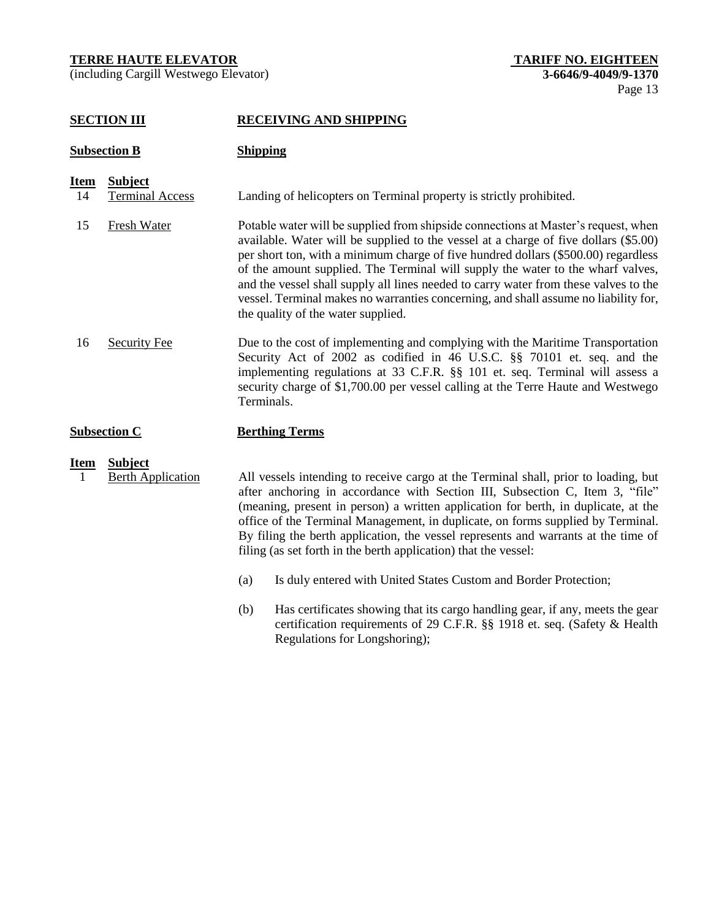(including Cargill Westwego Elevator) **3-6646/9-4049/9-1370**

# **SECTION III RECEIVING AND SHIPPING**

|                               | Subsection B                               | <b>Shipping</b>                                                                                                                                                                                                                                                                                                                                                                                                                                                                                                                                                          |
|-------------------------------|--------------------------------------------|--------------------------------------------------------------------------------------------------------------------------------------------------------------------------------------------------------------------------------------------------------------------------------------------------------------------------------------------------------------------------------------------------------------------------------------------------------------------------------------------------------------------------------------------------------------------------|
| <u>Item</u><br>14             | <b>Subject</b><br><b>Terminal Access</b>   | Landing of helicopters on Terminal property is strictly prohibited.                                                                                                                                                                                                                                                                                                                                                                                                                                                                                                      |
| 15                            | Fresh Water                                | Potable water will be supplied from shipside connections at Master's request, when<br>available. Water will be supplied to the vessel at a charge of five dollars (\$5.00)<br>per short ton, with a minimum charge of five hundred dollars (\$500.00) regardless<br>of the amount supplied. The Terminal will supply the water to the wharf valves,<br>and the vessel shall supply all lines needed to carry water from these valves to the<br>vessel. Terminal makes no warranties concerning, and shall assume no liability for,<br>the quality of the water supplied. |
| 16                            | <b>Security Fee</b>                        | Due to the cost of implementing and complying with the Maritime Transportation<br>Security Act of 2002 as codified in 46 U.S.C. §§ 70101 et. seq. and the<br>implementing regulations at 33 C.F.R. §§ 101 et. seq. Terminal will assess a<br>security charge of \$1,700.00 per vessel calling at the Terre Haute and Westwego<br>Terminals.                                                                                                                                                                                                                              |
|                               | <b>Subsection C</b>                        | <b>Berthing Terms</b>                                                                                                                                                                                                                                                                                                                                                                                                                                                                                                                                                    |
| <u>Item</u><br>$\overline{1}$ | <b>Subject</b><br><b>Berth Application</b> | All vessels intending to receive cargo at the Terminal shall, prior to loading, but<br>after anchoring in accordance with Section III, Subsection C, Item 3, "file"<br>(meaning, present in person) a written application for berth, in duplicate, at the<br>office of the Terminal Management, in duplicate, on forms supplied by Terminal.<br>By filing the berth application, the vessel represents and warrants at the time of<br>filing (as set forth in the berth application) that the vessel:                                                                    |

- (a) Is duly entered with United States Custom and Border Protection;
- (b) Has certificates showing that its cargo handling gear, if any, meets the gear certification requirements of 29 C.F.R. §§ 1918 et. seq. (Safety & Health Regulations for Longshoring);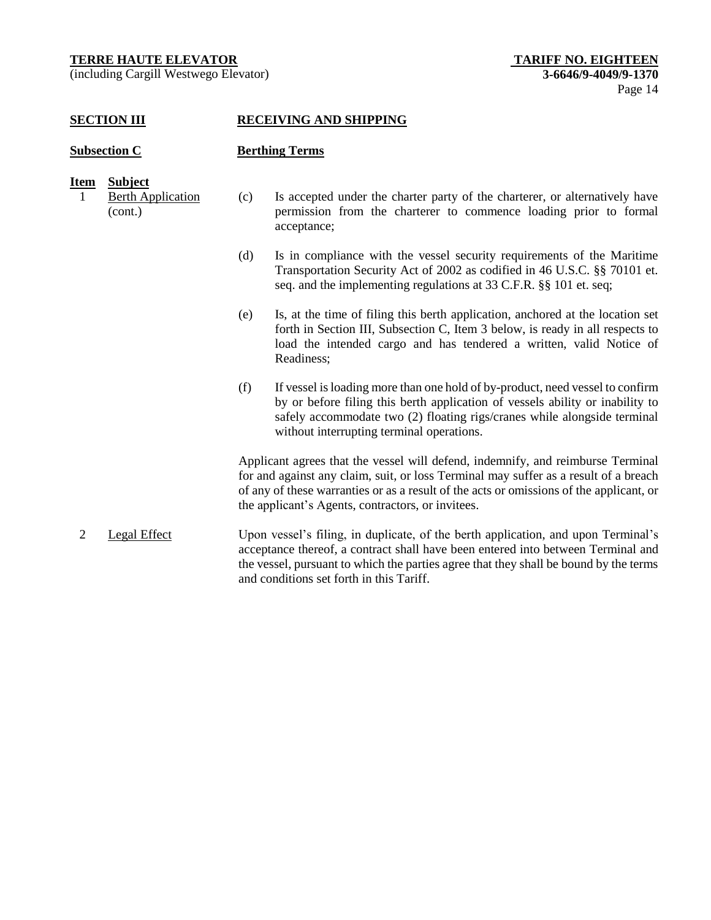(including Cargill Westwego Elevator) **3-6646/9-4049/9-1370**

#### **SECTION III RECEIVING AND SHIPPING**

# **Subsection C Berthing Terms**

# **Item Subject**

- 1 Berth Application (cont.)
- (c) Is accepted under the charter party of the charterer, or alternatively have permission from the charterer to commence loading prior to formal acceptance;
- (d) Is in compliance with the vessel security requirements of the Maritime Transportation Security Act of 2002 as codified in 46 U.S.C. §§ 70101 et. seq. and the implementing regulations at 33 C.F.R. §§ 101 et. seq;
- (e) Is, at the time of filing this berth application, anchored at the location set forth in Section III, Subsection C, Item 3 below, is ready in all respects to load the intended cargo and has tendered a written, valid Notice of Readiness;
- (f) If vessel is loading more than one hold of by-product, need vessel to confirm by or before filing this berth application of vessels ability or inability to safely accommodate two (2) floating rigs/cranes while alongside terminal without interrupting terminal operations.

Applicant agrees that the vessel will defend, indemnify, and reimburse Terminal for and against any claim, suit, or loss Terminal may suffer as a result of a breach of any of these warranties or as a result of the acts or omissions of the applicant, or the applicant's Agents, contractors, or invitees.

2 Legal Effect Upon vessel's filing, in duplicate, of the berth application, and upon Terminal's acceptance thereof, a contract shall have been entered into between Terminal and the vessel, pursuant to which the parties agree that they shall be bound by the terms and conditions set forth in this Tariff.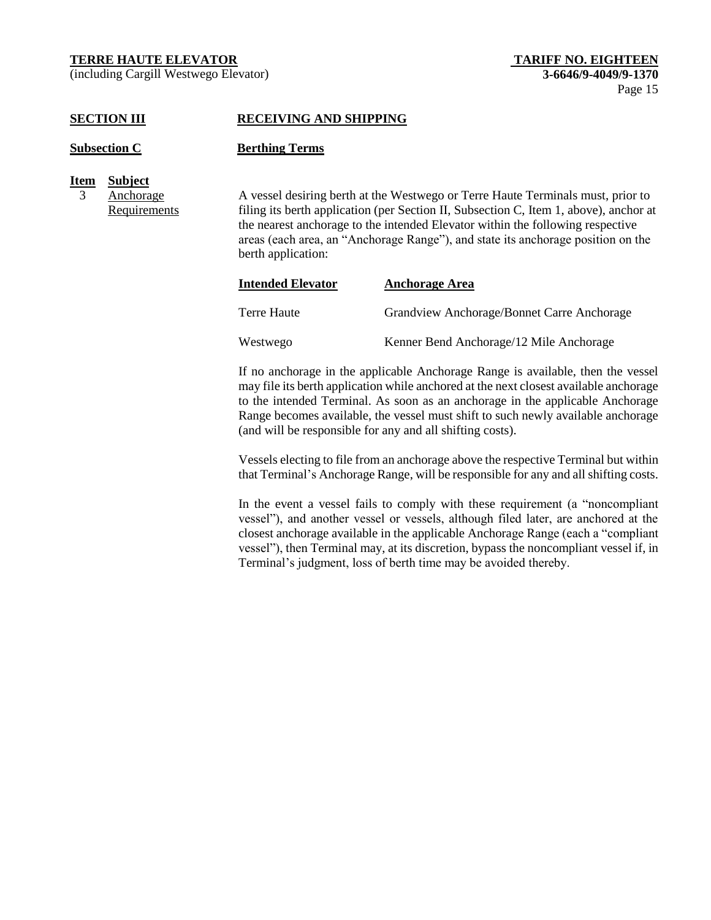(including Cargill Westwego Elevator) **3-6646/9-4049/9-1370**

# **SECTION III RECEIVING AND SHIPPING**

| <b>Subsection C</b> | <b>Berthing Terms</b> |
|---------------------|-----------------------|
|---------------------|-----------------------|

- **Item Subject**
	- 3 Anchorage **Requirements**

A vessel desiring berth at the Westwego or Terre Haute Terminals must, prior to filing its berth application (per Section II, Subsection C, Item 1, above), anchor at the nearest anchorage to the intended Elevator within the following respective areas (each area, an "Anchorage Range"), and state its anchorage position on the berth application:

| <b>Intended Elevator</b> | <b>Anchorage Area</b>                      |
|--------------------------|--------------------------------------------|
| Terre Haute              | Grandview Anchorage/Bonnet Carre Anchorage |
| Westwego                 | Kenner Bend Anchorage/12 Mile Anchorage    |

If no anchorage in the applicable Anchorage Range is available, then the vessel may file its berth application while anchored at the next closest available anchorage to the intended Terminal. As soon as an anchorage in the applicable Anchorage Range becomes available, the vessel must shift to such newly available anchorage (and will be responsible for any and all shifting costs).

Vessels electing to file from an anchorage above the respective Terminal but within that Terminal's Anchorage Range, will be responsible for any and all shifting costs.

In the event a vessel fails to comply with these requirement (a "noncompliant vessel"), and another vessel or vessels, although filed later, are anchored at the closest anchorage available in the applicable Anchorage Range (each a "compliant vessel"), then Terminal may, at its discretion, bypass the noncompliant vessel if, in Terminal's judgment, loss of berth time may be avoided thereby.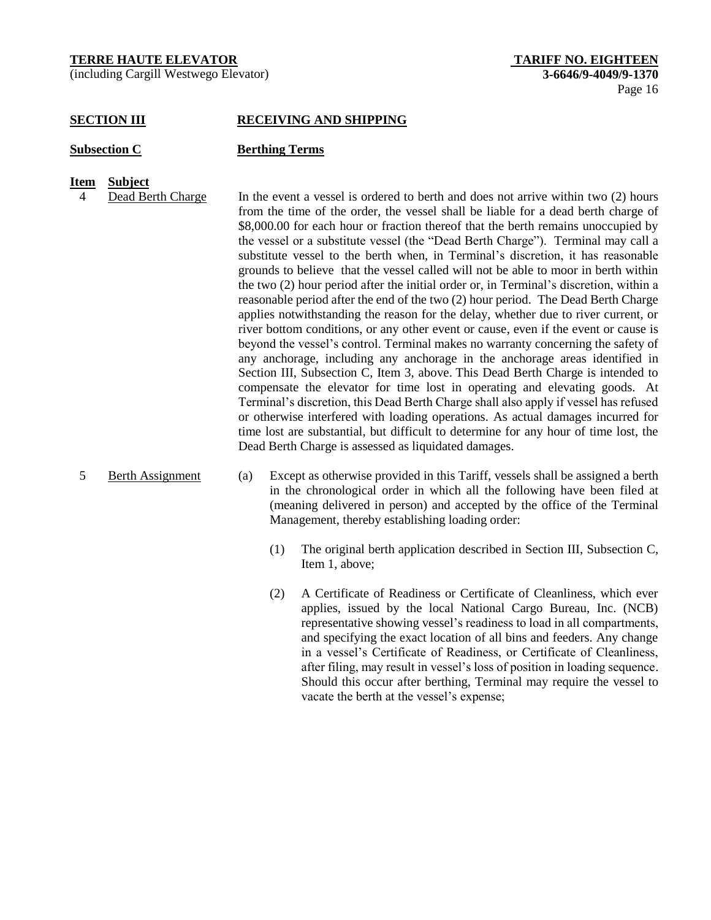(including Cargill Westwego Elevator) **3-6646/9-4049/9-1370**

# **SECTION III RECEIVING AND SHIPPING**

#### **Subsection C Berthing Terms**

- **Item Subject**
	- 4 Dead Berth Charge In the event a vessel is ordered to berth and does not arrive within two (2) hours from the time of the order, the vessel shall be liable for a dead berth charge of \$8,000.00 for each hour or fraction thereof that the berth remains unoccupied by the vessel or a substitute vessel (the "Dead Berth Charge"). Terminal may call a substitute vessel to the berth when, in Terminal's discretion, it has reasonable grounds to believe that the vessel called will not be able to moor in berth within the two (2) hour period after the initial order or, in Terminal's discretion, within a reasonable period after the end of the two (2) hour period. The Dead Berth Charge applies notwithstanding the reason for the delay, whether due to river current, or river bottom conditions, or any other event or cause, even if the event or cause is beyond the vessel's control. Terminal makes no warranty concerning the safety of any anchorage, including any anchorage in the anchorage areas identified in Section III, Subsection C, Item 3, above. This Dead Berth Charge is intended to compensate the elevator for time lost in operating and elevating goods. At Terminal's discretion, this Dead Berth Charge shall also apply if vessel has refused or otherwise interfered with loading operations. As actual damages incurred for time lost are substantial, but difficult to determine for any hour of time lost, the Dead Berth Charge is assessed as liquidated damages.

- 5 Berth Assignment (a) Except as otherwise provided in this Tariff, vessels shall be assigned a berth in the chronological order in which all the following have been filed at (meaning delivered in person) and accepted by the office of the Terminal Management, thereby establishing loading order:
	- (1) The original berth application described in Section III, Subsection C, Item 1, above;
	- (2) A Certificate of Readiness or Certificate of Cleanliness, which ever applies, issued by the local National Cargo Bureau, Inc. (NCB) representative showing vessel's readiness to load in all compartments, and specifying the exact location of all bins and feeders. Any change in a vessel's Certificate of Readiness, or Certificate of Cleanliness, after filing, may result in vessel's loss of position in loading sequence. Should this occur after berthing, Terminal may require the vessel to vacate the berth at the vessel's expense;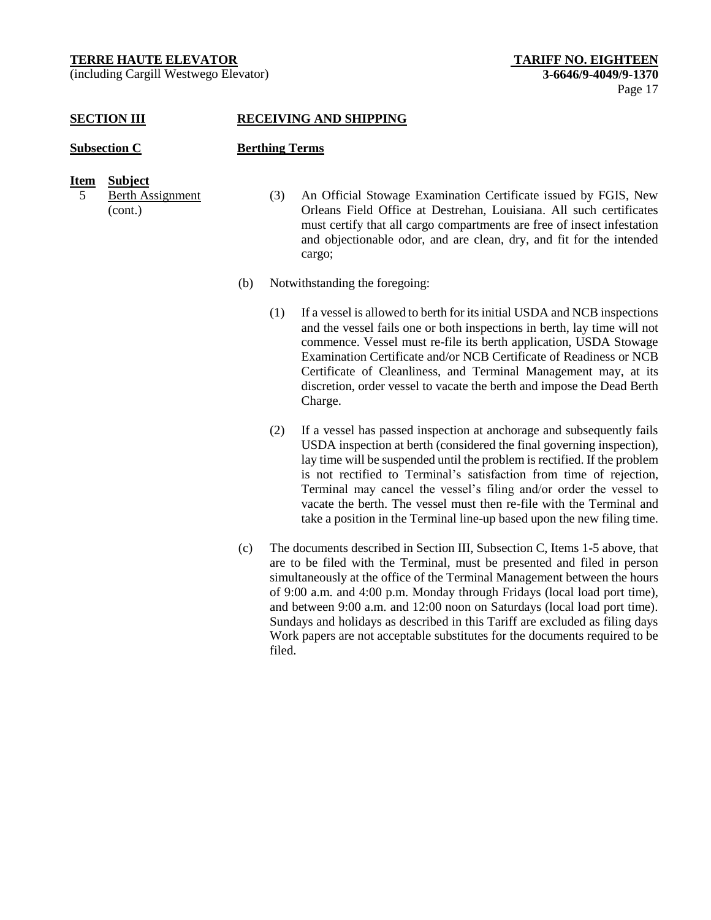(including Cargill Westwego Elevator) **3-6646/9-4049/9-1370**

# **SECTION III RECEIVING AND SHIPPING**

# **Subsection C Berthing Terms**

### **Item Subject**

- 5 Berth Assignment (cont.)
- (3) An Official Stowage Examination Certificate issued by FGIS, New Orleans Field Office at Destrehan, Louisiana. All such certificates must certify that all cargo compartments are free of insect infestation and objectionable odor, and are clean, dry, and fit for the intended cargo;
- (b) Notwithstanding the foregoing:
	- (1) If a vessel is allowed to berth for its initial USDA and NCB inspections and the vessel fails one or both inspections in berth, lay time will not commence. Vessel must re-file its berth application, USDA Stowage Examination Certificate and/or NCB Certificate of Readiness or NCB Certificate of Cleanliness, and Terminal Management may, at its discretion, order vessel to vacate the berth and impose the Dead Berth Charge.
	- (2) If a vessel has passed inspection at anchorage and subsequently fails USDA inspection at berth (considered the final governing inspection), lay time will be suspended until the problem is rectified. If the problem is not rectified to Terminal's satisfaction from time of rejection, Terminal may cancel the vessel's filing and/or order the vessel to vacate the berth. The vessel must then re-file with the Terminal and take a position in the Terminal line-up based upon the new filing time.
- (c) The documents described in Section III, Subsection C, Items 1-5 above, that are to be filed with the Terminal, must be presented and filed in person simultaneously at the office of the Terminal Management between the hours of 9:00 a.m. and 4:00 p.m. Monday through Fridays (local load port time), and between 9:00 a.m. and 12:00 noon on Saturdays (local load port time). Sundays and holidays as described in this Tariff are excluded as filing days Work papers are not acceptable substitutes for the documents required to be filed.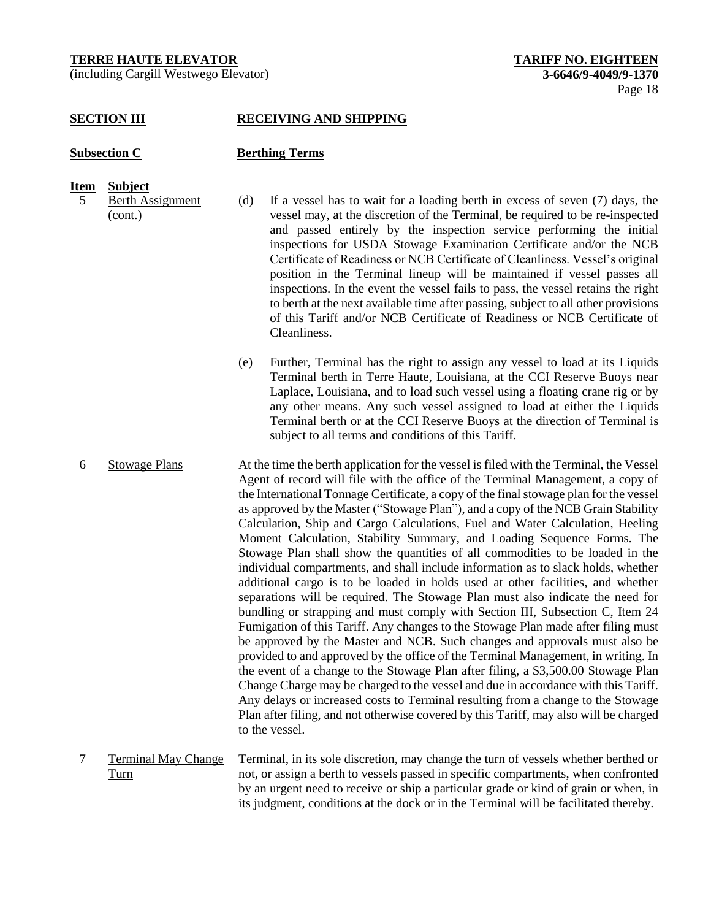(including Cargill Westwego Elevator) **3-6646/9-4049/9-1370**

### **SECTION III RECEIVING AND SHIPPING**

#### **Subsection C Berthing Terms**

# **Item Subject**

5 Berth Assignment (cont.)

- (d) If a vessel has to wait for a loading berth in excess of seven (7) days, the vessel may, at the discretion of the Terminal, be required to be re-inspected and passed entirely by the inspection service performing the initial inspections for USDA Stowage Examination Certificate and/or the NCB Certificate of Readiness or NCB Certificate of Cleanliness. Vessel's original position in the Terminal lineup will be maintained if vessel passes all inspections. In the event the vessel fails to pass, the vessel retains the right to berth at the next available time after passing, subject to all other provisions of this Tariff and/or NCB Certificate of Readiness or NCB Certificate of Cleanliness.
	- (e) Further, Terminal has the right to assign any vessel to load at its Liquids Terminal berth in Terre Haute, Louisiana, at the CCI Reserve Buoys near Laplace, Louisiana, and to load such vessel using a floating crane rig or by any other means. Any such vessel assigned to load at either the Liquids Terminal berth or at the CCI Reserve Buoys at the direction of Terminal is subject to all terms and conditions of this Tariff.
- 6 Stowage Plans At the time the berth application for the vessel is filed with the Terminal, the Vessel Agent of record will file with the office of the Terminal Management, a copy of the International Tonnage Certificate, a copy of the final stowage plan for the vessel as approved by the Master ("Stowage Plan"), and a copy of the NCB Grain Stability Calculation, Ship and Cargo Calculations, Fuel and Water Calculation, Heeling Moment Calculation, Stability Summary, and Loading Sequence Forms. The Stowage Plan shall show the quantities of all commodities to be loaded in the individual compartments, and shall include information as to slack holds, whether additional cargo is to be loaded in holds used at other facilities, and whether separations will be required. The Stowage Plan must also indicate the need for bundling or strapping and must comply with Section III, Subsection C, Item 24 Fumigation of this Tariff. Any changes to the Stowage Plan made after filing must be approved by the Master and NCB. Such changes and approvals must also be provided to and approved by the office of the Terminal Management, in writing. In the event of a change to the Stowage Plan after filing, a \$3,500.00 Stowage Plan Change Charge may be charged to the vessel and due in accordance with this Tariff. Any delays or increased costs to Terminal resulting from a change to the Stowage Plan after filing, and not otherwise covered by this Tariff, may also will be charged to the vessel.
- 7 Terminal May Change Turn Terminal, in its sole discretion, may change the turn of vessels whether berthed or not, or assign a berth to vessels passed in specific compartments, when confronted by an urgent need to receive or ship a particular grade or kind of grain or when, in its judgment, conditions at the dock or in the Terminal will be facilitated thereby.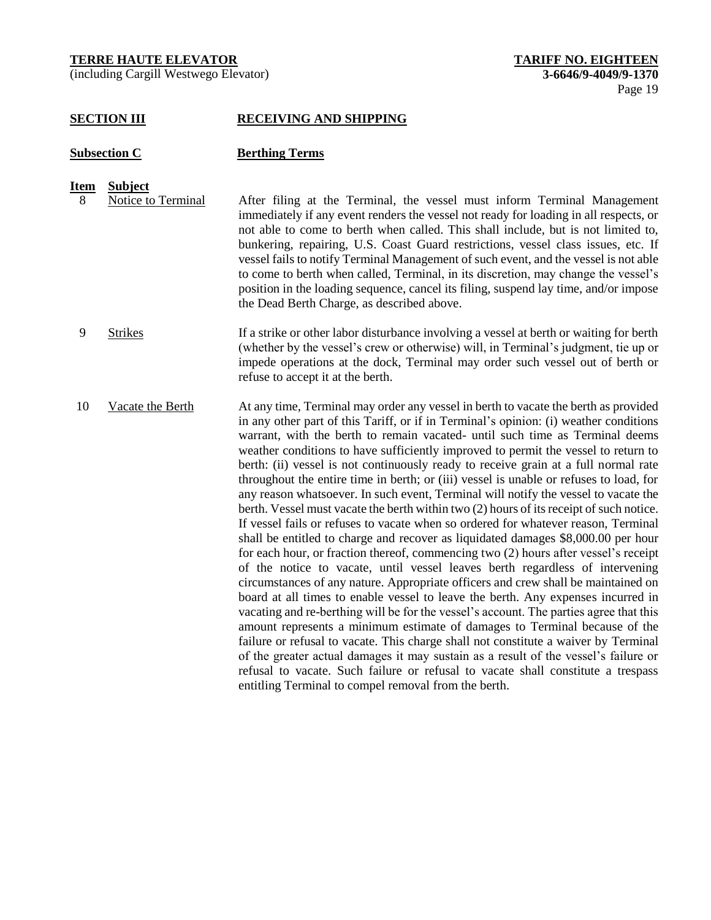(including Cargill Westwego Elevator) **3-6646/9-4049/9-1370**

# **SECTION III RECEIVING AND SHIPPING**

# **Subsection C Berthing Terms**

#### **Item Subject**

- 8 Notice to Terminal After filing at the Terminal, the vessel must inform Terminal Management immediately if any event renders the vessel not ready for loading in all respects, or not able to come to berth when called. This shall include, but is not limited to, bunkering, repairing, U.S. Coast Guard restrictions, vessel class issues, etc. If vessel fails to notify Terminal Management of such event, and the vessel is not able to come to berth when called, Terminal, in its discretion, may change the vessel's position in the loading sequence, cancel its filing, suspend lay time, and/or impose the Dead Berth Charge, as described above.
- 9 Strikes If a strike or other labor disturbance involving a vessel at berth or waiting for berth (whether by the vessel's crew or otherwise) will, in Terminal's judgment, tie up or impede operations at the dock, Terminal may order such vessel out of berth or refuse to accept it at the berth.
- 10 Vacate the Berth At any time, Terminal may order any vessel in berth to vacate the berth as provided in any other part of this Tariff, or if in Terminal's opinion: (i) weather conditions warrant, with the berth to remain vacated- until such time as Terminal deems weather conditions to have sufficiently improved to permit the vessel to return to berth: (ii) vessel is not continuously ready to receive grain at a full normal rate throughout the entire time in berth; or (iii) vessel is unable or refuses to load, for any reason whatsoever. In such event, Terminal will notify the vessel to vacate the berth. Vessel must vacate the berth within two (2) hours of its receipt of such notice. If vessel fails or refuses to vacate when so ordered for whatever reason, Terminal shall be entitled to charge and recover as liquidated damages \$8,000.00 per hour for each hour, or fraction thereof, commencing two (2) hours after vessel's receipt of the notice to vacate, until vessel leaves berth regardless of intervening circumstances of any nature. Appropriate officers and crew shall be maintained on board at all times to enable vessel to leave the berth. Any expenses incurred in vacating and re-berthing will be for the vessel's account. The parties agree that this amount represents a minimum estimate of damages to Terminal because of the failure or refusal to vacate. This charge shall not constitute a waiver by Terminal of the greater actual damages it may sustain as a result of the vessel's failure or refusal to vacate. Such failure or refusal to vacate shall constitute a trespass entitling Terminal to compel removal from the berth.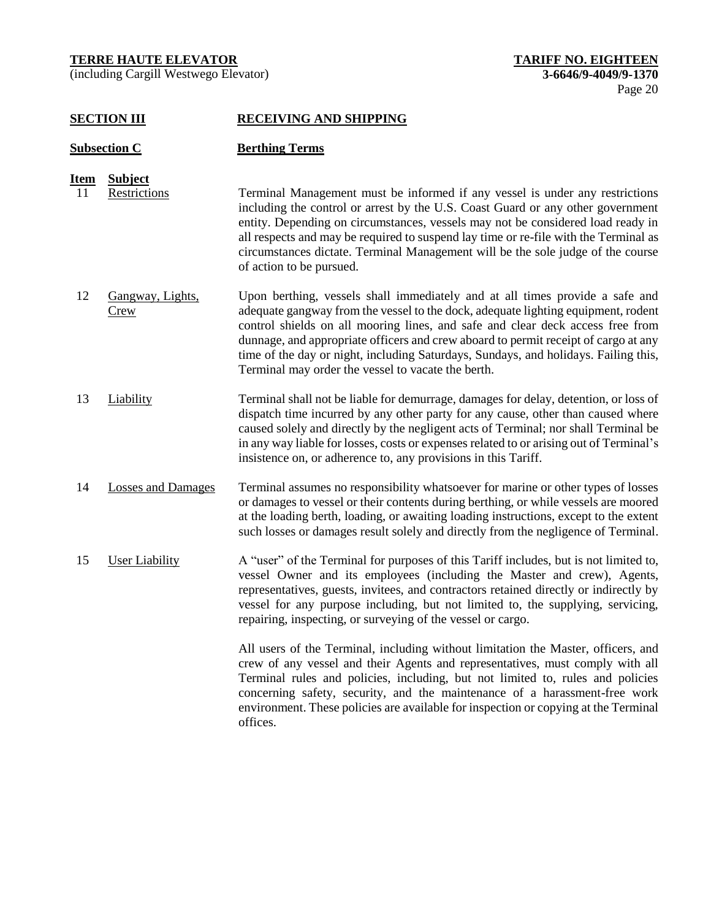(including Cargill Westwego Elevator) **3-6646/9-4049/9-1370**

# **SECTION III RECEIVING AND SHIPPING**

| <b>Subsection C</b> | <b>Berthing Terms</b> |
|---------------------|-----------------------|
|                     |                       |

- **Item Subject** 11 Restrictions Terminal Management must be informed if any vessel is under any restrictions including the control or arrest by the U.S. Coast Guard or any other government entity. Depending on circumstances, vessels may not be considered load ready in all respects and may be required to suspend lay time or re-file with the Terminal as circumstances dictate. Terminal Management will be the sole judge of the course of action to be pursued.
- 12 Gangway, Lights, Crew Upon berthing, vessels shall immediately and at all times provide a safe and adequate gangway from the vessel to the dock, adequate lighting equipment, rodent control shields on all mooring lines, and safe and clear deck access free from dunnage, and appropriate officers and crew aboard to permit receipt of cargo at any time of the day or night, including Saturdays, Sundays, and holidays. Failing this, Terminal may order the vessel to vacate the berth.
- 13 Liability Terminal shall not be liable for demurrage, damages for delay, detention, or loss of dispatch time incurred by any other party for any cause, other than caused where caused solely and directly by the negligent acts of Terminal; nor shall Terminal be in any way liable for losses, costs or expenses related to or arising out of Terminal's insistence on, or adherence to, any provisions in this Tariff.
- 14 Losses and Damages Terminal assumes no responsibility whatsoever for marine or other types of losses or damages to vessel or their contents during berthing, or while vessels are moored at the loading berth, loading, or awaiting loading instructions, except to the extent such losses or damages result solely and directly from the negligence of Terminal.
- 15 User Liability A "user" of the Terminal for purposes of this Tariff includes, but is not limited to, vessel Owner and its employees (including the Master and crew), Agents, representatives, guests, invitees, and contractors retained directly or indirectly by vessel for any purpose including, but not limited to, the supplying, servicing, repairing, inspecting, or surveying of the vessel or cargo.

All users of the Terminal, including without limitation the Master, officers, and crew of any vessel and their Agents and representatives, must comply with all Terminal rules and policies, including, but not limited to, rules and policies concerning safety, security, and the maintenance of a harassment-free work environment. These policies are available for inspection or copying at the Terminal offices.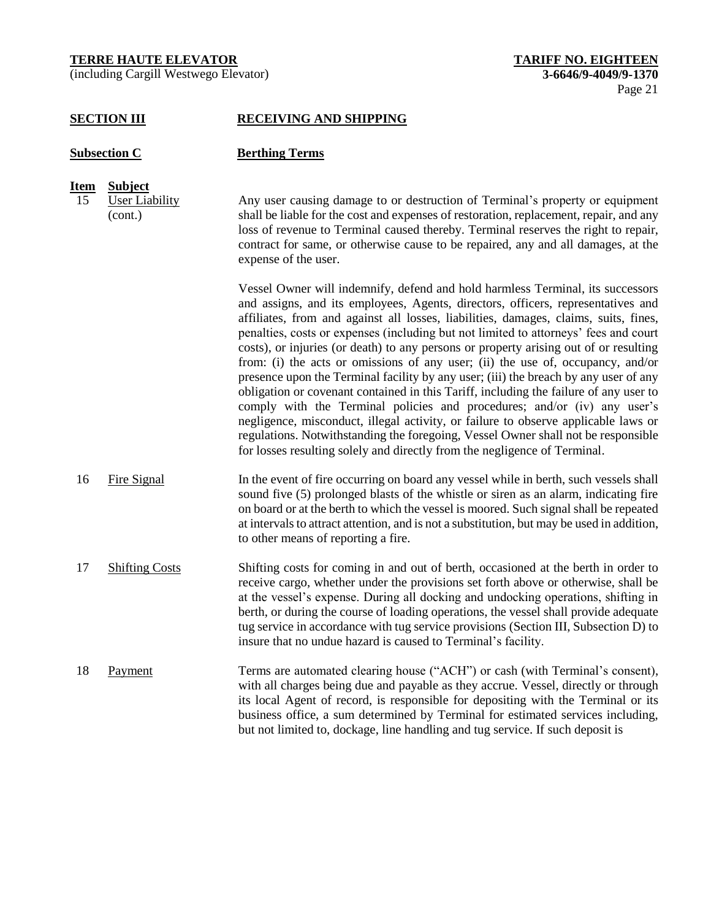(including Cargill Westwego Elevator) **3-6646/9-4049/9-1370**

# **SECTION III RECEIVING AND SHIPPING**

# **Subsection C Berthing Terms Item Subject** 15 User Liability (cont.) Any user causing damage to or destruction of Terminal's property or equipment shall be liable for the cost and expenses of restoration, replacement, repair, and any loss of revenue to Terminal caused thereby. Terminal reserves the right to repair, contract for same, or otherwise cause to be repaired, any and all damages, at the expense of the user. Vessel Owner will indemnify, defend and hold harmless Terminal, its successors and assigns, and its employees, Agents, directors, officers, representatives and affiliates, from and against all losses, liabilities, damages, claims, suits, fines, penalties, costs or expenses (including but not limited to attorneys' fees and court costs), or injuries (or death) to any persons or property arising out of or resulting from: (i) the acts or omissions of any user; (ii) the use of, occupancy, and/or presence upon the Terminal facility by any user; (iii) the breach by any user of any obligation or covenant contained in this Tariff, including the failure of any user to comply with the Terminal policies and procedures; and/or (iv) any user's negligence, misconduct, illegal activity, or failure to observe applicable laws or regulations. Notwithstanding the foregoing, Vessel Owner shall not be responsible for losses resulting solely and directly from the negligence of Terminal. 16 Fire Signal In the event of fire occurring on board any vessel while in berth, such vessels shall sound five (5) prolonged blasts of the whistle or siren as an alarm, indicating fire on board or at the berth to which the vessel is moored. Such signal shall be repeated at intervals to attract attention, and is not a substitution, but may be used in addition, to other means of reporting a fire. 17 Shifting Costs Shifting costs for coming in and out of berth, occasioned at the berth in order to receive cargo, whether under the provisions set forth above or otherwise, shall be at the vessel's expense. During all docking and undocking operations, shifting in berth, or during the course of loading operations, the vessel shall provide adequate tug service in accordance with tug service provisions (Section III, Subsection D) to insure that no undue hazard is caused to Terminal's facility. 18 Payment Terms are automated clearing house ("ACH") or cash (with Terminal's consent), with all charges being due and payable as they accrue. Vessel, directly or through its local Agent of record, is responsible for depositing with the Terminal or its business office, a sum determined by Terminal for estimated services including, but not limited to, dockage, line handling and tug service. If such deposit is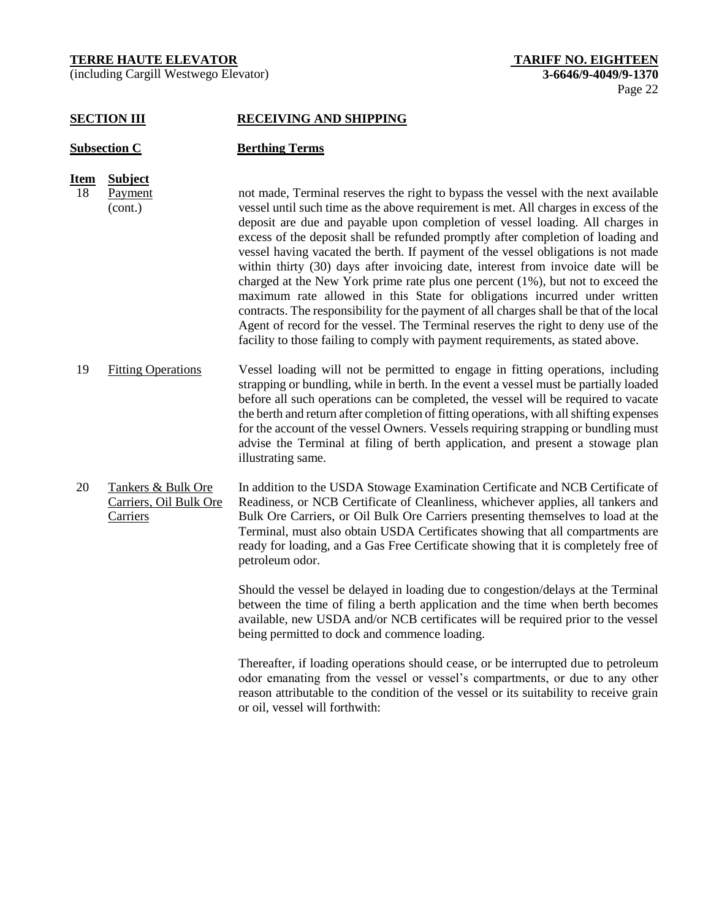(including Cargill Westwego Elevator) **3-6646/9-4049/9-1370**

# **SECTION III RECEIVING AND SHIPPING**

| <b>DECITOR III</b>  |                                                          | RECEIVING AND SHILLING                                                                                                                                                                                                                                                                                                                                                                                                                                                                                                                                                                                                                                                                                                                                                                                                                                                                                                                                       |
|---------------------|----------------------------------------------------------|--------------------------------------------------------------------------------------------------------------------------------------------------------------------------------------------------------------------------------------------------------------------------------------------------------------------------------------------------------------------------------------------------------------------------------------------------------------------------------------------------------------------------------------------------------------------------------------------------------------------------------------------------------------------------------------------------------------------------------------------------------------------------------------------------------------------------------------------------------------------------------------------------------------------------------------------------------------|
| <b>Subsection C</b> |                                                          | <b>Berthing Terms</b>                                                                                                                                                                                                                                                                                                                                                                                                                                                                                                                                                                                                                                                                                                                                                                                                                                                                                                                                        |
| <u>Item</u><br>18   | <b>Subject</b><br>Payment<br>(cont.)                     | not made, Terminal reserves the right to bypass the vessel with the next available<br>vessel until such time as the above requirement is met. All charges in excess of the<br>deposit are due and payable upon completion of vessel loading. All charges in<br>excess of the deposit shall be refunded promptly after completion of loading and<br>vessel having vacated the berth. If payment of the vessel obligations is not made<br>within thirty (30) days after invoicing date, interest from invoice date will be<br>charged at the New York prime rate plus one percent (1%), but not to exceed the<br>maximum rate allowed in this State for obligations incurred under written<br>contracts. The responsibility for the payment of all charges shall be that of the local<br>Agent of record for the vessel. The Terminal reserves the right to deny use of the<br>facility to those failing to comply with payment requirements, as stated above. |
| 19                  | <b>Fitting Operations</b>                                | Vessel loading will not be permitted to engage in fitting operations, including<br>strapping or bundling, while in berth. In the event a vessel must be partially loaded<br>before all such operations can be completed, the vessel will be required to vacate<br>the berth and return after completion of fitting operations, with all shifting expenses<br>for the account of the vessel Owners. Vessels requiring strapping or bundling must<br>advise the Terminal at filing of berth application, and present a stowage plan<br>illustrating same.                                                                                                                                                                                                                                                                                                                                                                                                      |
| 20                  | Tankers & Bulk Ore<br>Carriers, Oil Bulk Ore<br>Carriers | In addition to the USDA Stowage Examination Certificate and NCB Certificate of<br>Readiness, or NCB Certificate of Cleanliness, whichever applies, all tankers and<br>Bulk Ore Carriers, or Oil Bulk Ore Carriers presenting themselves to load at the<br>Terminal, must also obtain USDA Certificates showing that all compartments are<br>ready for loading, and a Gas Free Certificate showing that it is completely free of<br>petroleum odor.                                                                                                                                                                                                                                                                                                                                                                                                                                                                                                           |
|                     |                                                          | Should the vessel be delayed in loading due to congestion/delays at the Terminal<br>between the time of filing a berth application and the time when berth becomes<br>available, new USDA and/or NCB certificates will be required prior to the vessel<br>being permitted to dock and commence loading.                                                                                                                                                                                                                                                                                                                                                                                                                                                                                                                                                                                                                                                      |
|                     |                                                          | Thereafter, if loading operations should cease, or be interrupted due to petroleum<br>odor emanating from the vessel or vessel's compartments, or due to any other                                                                                                                                                                                                                                                                                                                                                                                                                                                                                                                                                                                                                                                                                                                                                                                           |

Thereafter, if loading operations should cease, or be interrupted due to petroleum odor emanating from the vessel or vessel's compartments, or due to any other reason attributable to the condition of the vessel or its suitability to receive grain or oil, vessel will forthwith: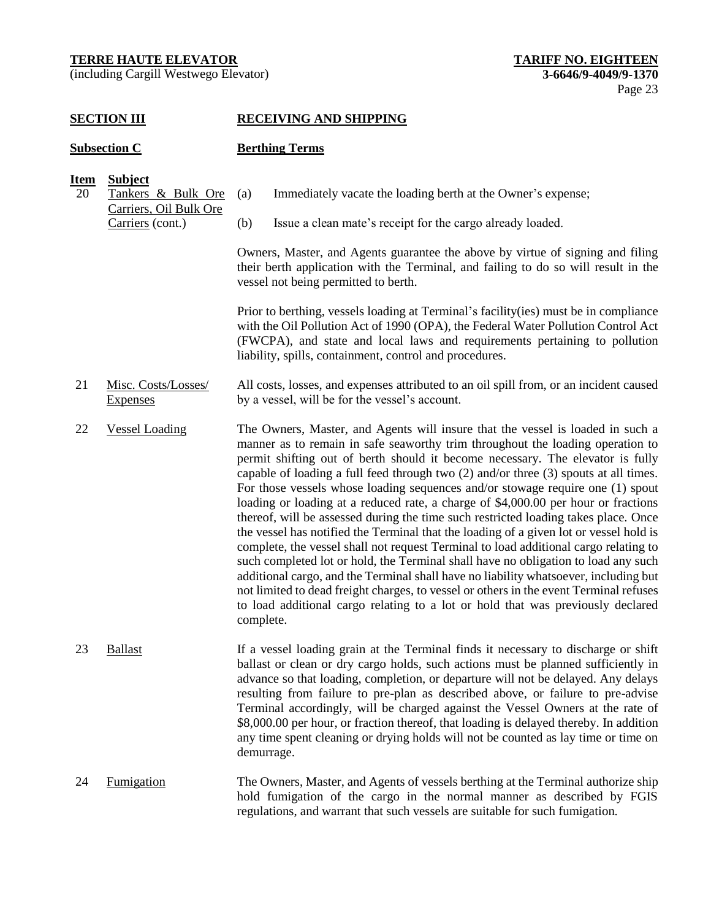(including Cargill Westwego Elevator) **3-6646/9-4049/9-1370**

## **SECTION III RECEIVING AND SHIPPING**

# **Subsection C Berthing Terms**

## **Item Subject**

- 20 Tankers & Bulk Ore Carriers, Oil Bulk Ore (a) Immediately vacate the loading berth at the Owner's expense;
	- Carriers (cont.) (b) Issue a clean mate's receipt for the cargo already loaded.

Owners, Master, and Agents guarantee the above by virtue of signing and filing their berth application with the Terminal, and failing to do so will result in the vessel not being permitted to berth.

Prior to berthing, vessels loading at Terminal's facility(ies) must be in compliance with the Oil Pollution Act of 1990 (OPA), the Federal Water Pollution Control Act (FWCPA), and state and local laws and requirements pertaining to pollution liability, spills, containment, control and procedures.

- 21 Misc. Costs/Losses/ **Expenses** All costs, losses, and expenses attributed to an oil spill from, or an incident caused by a vessel, will be for the vessel's account.
- 22 Vessel Loading The Owners, Master, and Agents will insure that the vessel is loaded in such a manner as to remain in safe seaworthy trim throughout the loading operation to permit shifting out of berth should it become necessary. The elevator is fully capable of loading a full feed through two (2) and/or three (3) spouts at all times. For those vessels whose loading sequences and/or stowage require one (1) spout loading or loading at a reduced rate, a charge of \$4,000.00 per hour or fractions thereof, will be assessed during the time such restricted loading takes place. Once the vessel has notified the Terminal that the loading of a given lot or vessel hold is complete, the vessel shall not request Terminal to load additional cargo relating to such completed lot or hold, the Terminal shall have no obligation to load any such additional cargo, and the Terminal shall have no liability whatsoever, including but not limited to dead freight charges, to vessel or others in the event Terminal refuses to load additional cargo relating to a lot or hold that was previously declared complete.
- 23 Ballast If a vessel loading grain at the Terminal finds it necessary to discharge or shift ballast or clean or dry cargo holds, such actions must be planned sufficiently in advance so that loading, completion, or departure will not be delayed. Any delays resulting from failure to pre-plan as described above, or failure to pre-advise Terminal accordingly, will be charged against the Vessel Owners at the rate of \$8,000.00 per hour, or fraction thereof, that loading is delayed thereby. In addition any time spent cleaning or drying holds will not be counted as lay time or time on demurrage.
- 24 Fumigation The Owners, Master, and Agents of vessels berthing at the Terminal authorize ship hold fumigation of the cargo in the normal manner as described by FGIS regulations, and warrant that such vessels are suitable for such fumigation.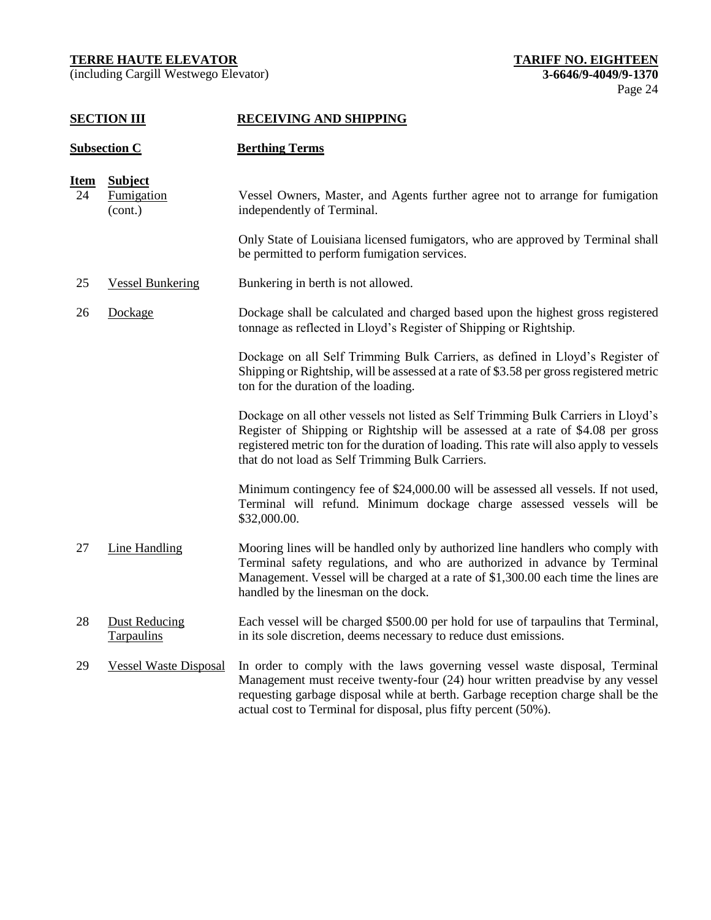(including Cargill Westwego Elevator) **3-6646/9-4049/9-1370**

# **SECTION III RECEIVING AND SHIPPING**

| <b>Subsection C</b> |                                         | <b>Berthing Terms</b>                                                                                                                                                                                                                                                                                                |  |
|---------------------|-----------------------------------------|----------------------------------------------------------------------------------------------------------------------------------------------------------------------------------------------------------------------------------------------------------------------------------------------------------------------|--|
| <b>Item</b><br>24   | <b>Subject</b><br>Fumigation<br>(cont.) | Vessel Owners, Master, and Agents further agree not to arrange for fumigation<br>independently of Terminal.                                                                                                                                                                                                          |  |
|                     |                                         | Only State of Louisiana licensed fumigators, who are approved by Terminal shall<br>be permitted to perform fumigation services.                                                                                                                                                                                      |  |
| 25                  | <b>Vessel Bunkering</b>                 | Bunkering in berth is not allowed.                                                                                                                                                                                                                                                                                   |  |
| 26                  | Dockage                                 | Dockage shall be calculated and charged based upon the highest gross registered<br>tonnage as reflected in Lloyd's Register of Shipping or Rightship.                                                                                                                                                                |  |
|                     |                                         | Dockage on all Self Trimming Bulk Carriers, as defined in Lloyd's Register of<br>Shipping or Rightship, will be assessed at a rate of \$3.58 per gross registered metric<br>ton for the duration of the loading.                                                                                                     |  |
|                     |                                         | Dockage on all other vessels not listed as Self Trimming Bulk Carriers in Lloyd's<br>Register of Shipping or Rightship will be assessed at a rate of \$4.08 per gross<br>registered metric ton for the duration of loading. This rate will also apply to vessels<br>that do not load as Self Trimming Bulk Carriers. |  |
|                     |                                         | Minimum contingency fee of \$24,000.00 will be assessed all vessels. If not used,<br>Terminal will refund. Minimum dockage charge assessed vessels will be<br>\$32,000.00.                                                                                                                                           |  |
| 27                  | <b>Line Handling</b>                    | Mooring lines will be handled only by authorized line handlers who comply with<br>Terminal safety regulations, and who are authorized in advance by Terminal<br>Management. Vessel will be charged at a rate of \$1,300.00 each time the lines are<br>handled by the linesman on the dock.                           |  |
| 28                  | <b>Dust Reducing</b><br>Tarpaulins      | Each vessel will be charged \$500.00 per hold for use of tarpaulins that Terminal,<br>in its sole discretion, deems necessary to reduce dust emissions.                                                                                                                                                              |  |
| 29                  | <b>Vessel Waste Disposal</b>            | In order to comply with the laws governing vessel waste disposal, Terminal<br>Management must receive twenty-four (24) hour written preadvise by any vessel<br>requesting garbage disposal while at berth. Garbage reception charge shall be the<br>actual cost to Terminal for disposal, plus fifty percent (50%).  |  |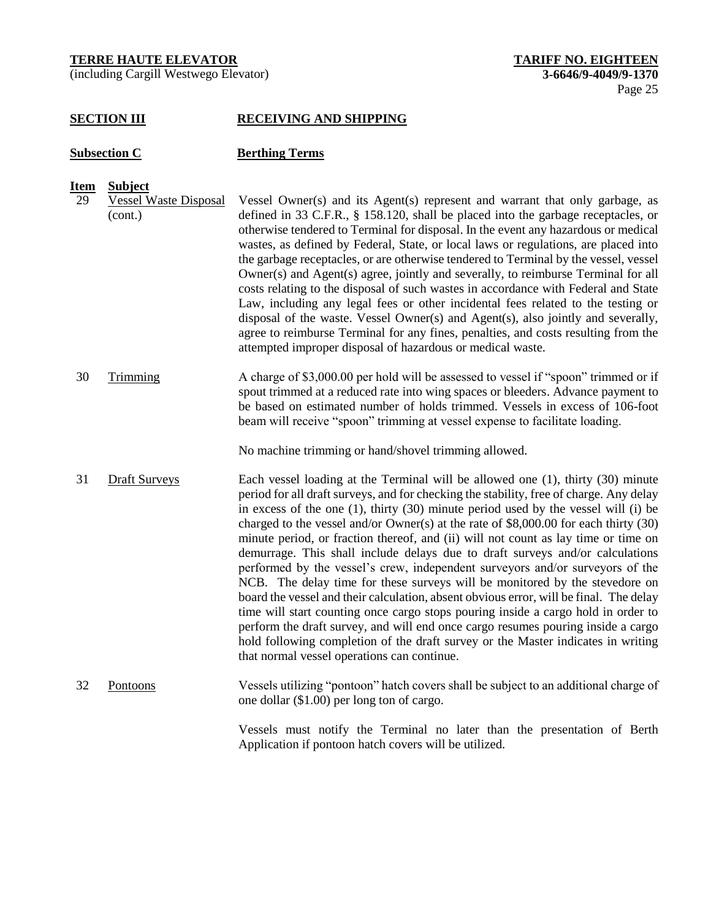(including Cargill Westwego Elevator) **3-6646/9-4049/9-1370**

# **SECTION III RECEIVING AND SHIPPING**

# **Subsection C Berthing Terms**

## **Item Subject**

- 29 Vessel Waste Disposal (cont.) Vessel Owner(s) and its Agent(s) represent and warrant that only garbage, as defined in 33 C.F.R., § 158.120, shall be placed into the garbage receptacles, or otherwise tendered to Terminal for disposal. In the event any hazardous or medical wastes, as defined by Federal, State, or local laws or regulations, are placed into the garbage receptacles, or are otherwise tendered to Terminal by the vessel, vessel Owner(s) and Agent(s) agree, jointly and severally, to reimburse Terminal for all costs relating to the disposal of such wastes in accordance with Federal and State Law, including any legal fees or other incidental fees related to the testing or disposal of the waste. Vessel Owner(s) and Agent(s), also jointly and severally, agree to reimburse Terminal for any fines, penalties, and costs resulting from the attempted improper disposal of hazardous or medical waste.
- 30 Trimming A charge of \$3,000.00 per hold will be assessed to vessel if "spoon" trimmed or if spout trimmed at a reduced rate into wing spaces or bleeders. Advance payment to be based on estimated number of holds trimmed. Vessels in excess of 106-foot beam will receive "spoon" trimming at vessel expense to facilitate loading.

No machine trimming or hand/shovel trimming allowed.

- 31 Draft Surveys Each vessel loading at the Terminal will be allowed one (1), thirty (30) minute period for all draft surveys, and for checking the stability, free of charge. Any delay in excess of the one (1), thirty (30) minute period used by the vessel will (i) be charged to the vessel and/or Owner(s) at the rate of \$8,000.00 for each thirty (30) minute period, or fraction thereof, and (ii) will not count as lay time or time on demurrage. This shall include delays due to draft surveys and/or calculations performed by the vessel's crew, independent surveyors and/or surveyors of the NCB. The delay time for these surveys will be monitored by the stevedore on board the vessel and their calculation, absent obvious error, will be final. The delay time will start counting once cargo stops pouring inside a cargo hold in order to perform the draft survey, and will end once cargo resumes pouring inside a cargo hold following completion of the draft survey or the Master indicates in writing that normal vessel operations can continue.
- 32 Pontoons Vessels utilizing "pontoon" hatch covers shall be subject to an additional charge of one dollar (\$1.00) per long ton of cargo.

Vessels must notify the Terminal no later than the presentation of Berth Application if pontoon hatch covers will be utilized.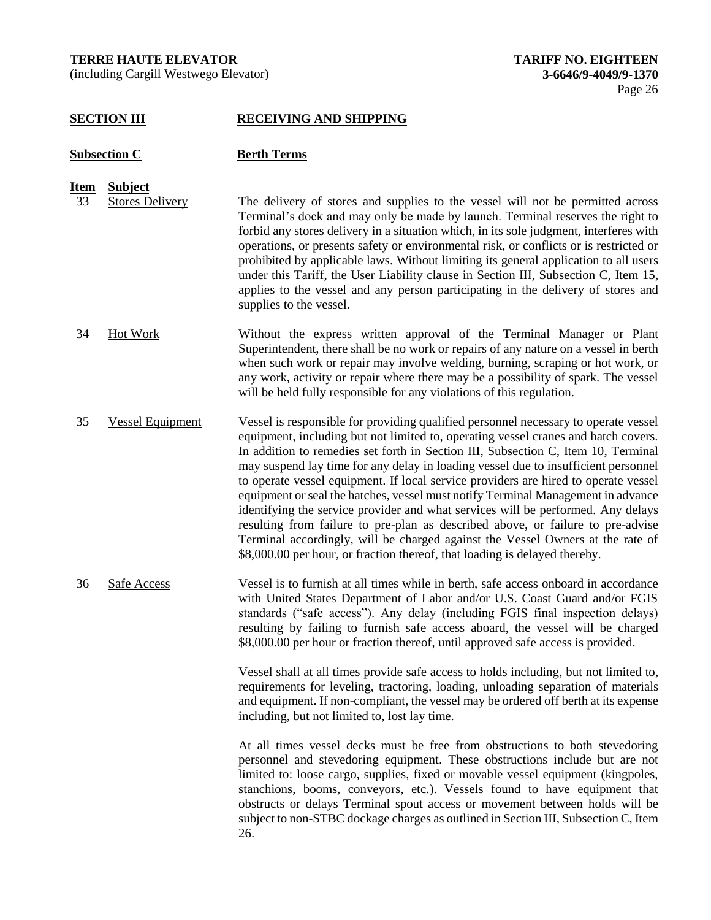(including Cargill Westwego Elevator) **3-6646/9-4049/9-1370**

# **SECTION III RECEIVING AND SHIPPING**

# **Subsection C Berth Terms**

# **Item Subject**

- 33 Stores Delivery The delivery of stores and supplies to the vessel will not be permitted across Terminal's dock and may only be made by launch. Terminal reserves the right to forbid any stores delivery in a situation which, in its sole judgment, interferes with operations, or presents safety or environmental risk, or conflicts or is restricted or prohibited by applicable laws. Without limiting its general application to all users under this Tariff, the User Liability clause in Section III, Subsection C, Item 15, applies to the vessel and any person participating in the delivery of stores and supplies to the vessel.
- 34 Hot Work Without the express written approval of the Terminal Manager or Plant Superintendent, there shall be no work or repairs of any nature on a vessel in berth when such work or repair may involve welding, burning, scraping or hot work, or any work, activity or repair where there may be a possibility of spark. The vessel will be held fully responsible for any violations of this regulation.
- 35 Vessel Equipment Vessel is responsible for providing qualified personnel necessary to operate vessel equipment, including but not limited to, operating vessel cranes and hatch covers. In addition to remedies set forth in Section III, Subsection C, Item 10, Terminal may suspend lay time for any delay in loading vessel due to insufficient personnel to operate vessel equipment. If local service providers are hired to operate vessel equipment or seal the hatches, vessel must notify Terminal Management in advance identifying the service provider and what services will be performed. Any delays resulting from failure to pre-plan as described above, or failure to pre-advise Terminal accordingly, will be charged against the Vessel Owners at the rate of \$8,000.00 per hour, or fraction thereof, that loading is delayed thereby.
- 36 Safe Access Vessel is to furnish at all times while in berth, safe access onboard in accordance with United States Department of Labor and/or U.S. Coast Guard and/or FGIS standards ("safe access"). Any delay (including FGIS final inspection delays) resulting by failing to furnish safe access aboard, the vessel will be charged \$8,000.00 per hour or fraction thereof, until approved safe access is provided.

Vessel shall at all times provide safe access to holds including, but not limited to, requirements for leveling, tractoring, loading, unloading separation of materials and equipment. If non-compliant, the vessel may be ordered off berth at its expense including, but not limited to, lost lay time.

At all times vessel decks must be free from obstructions to both stevedoring personnel and stevedoring equipment. These obstructions include but are not limited to: loose cargo, supplies, fixed or movable vessel equipment (kingpoles, stanchions, booms, conveyors, etc.). Vessels found to have equipment that obstructs or delays Terminal spout access or movement between holds will be subject to non-STBC dockage charges as outlined in Section III, Subsection C, Item 26.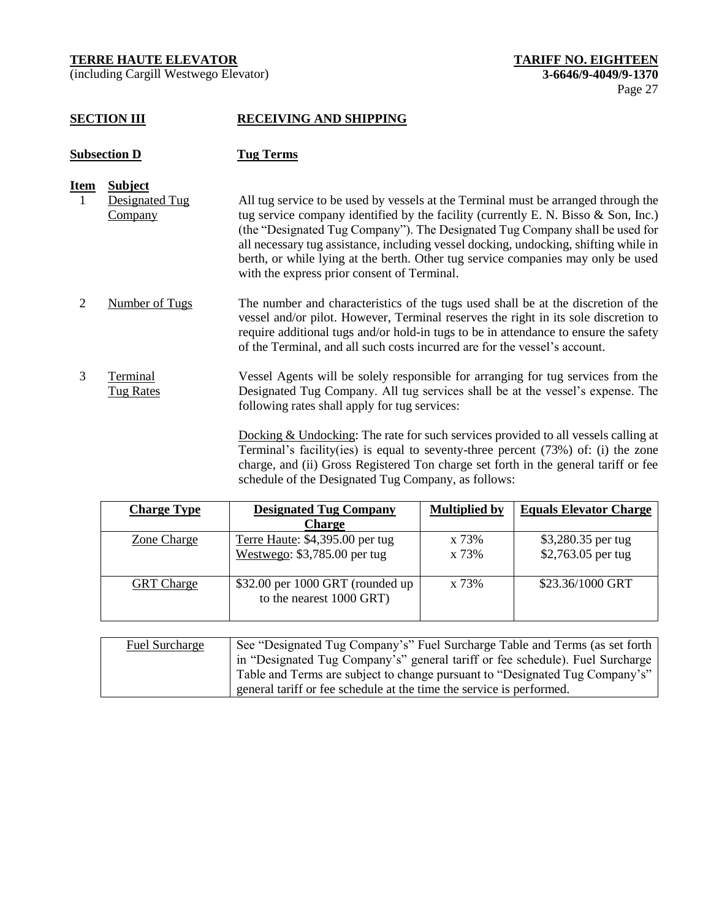(including Cargill Westwego Elevator) **3-6646/9-4049/9-1370**

# **SECTION III RECEIVING AND SHIPPING**

# **Subsection D Tug Terms**

# **Item Subject**

- 1 Designated Tug Company All tug service to be used by vessels at the Terminal must be arranged through the tug service company identified by the facility (currently E. N. Bisso & Son, Inc.) (the "Designated Tug Company"). The Designated Tug Company shall be used for all necessary tug assistance, including vessel docking, undocking, shifting while in berth, or while lying at the berth. Other tug service companies may only be used with the express prior consent of Terminal.
- 2 Number of Tugs The number and characteristics of the tugs used shall be at the discretion of the vessel and/or pilot. However, Terminal reserves the right in its sole discretion to require additional tugs and/or hold-in tugs to be in attendance to ensure the safety of the Terminal, and all such costs incurred are for the vessel's account.
- 3 Terminal Tug Rates Vessel Agents will be solely responsible for arranging for tug services from the Designated Tug Company. All tug services shall be at the vessel's expense. The following rates shall apply for tug services:

Docking & Undocking: The rate for such services provided to all vessels calling at Terminal's facility(ies) is equal to seventy-three percent (73%) of: (i) the zone charge, and (ii) Gross Registered Ton charge set forth in the general tariff or fee schedule of the Designated Tug Company, as follows:

| <b>Charge Type</b> | <b>Designated Tug Company</b>                                | <b>Multiplied by</b> | <b>Equals Elevator Charge</b> |
|--------------------|--------------------------------------------------------------|----------------------|-------------------------------|
|                    | <b>Charge</b>                                                |                      |                               |
| Zone Charge        | Terre Haute: \$4,395.00 per tug                              | x 73%                | \$3,280.35 per tug            |
|                    | Westwego: \$3,785.00 per tug                                 | x 73%                | \$2,763.05 per tug            |
| <b>GRT</b> Charge  | \$32.00 per 1000 GRT (rounded up<br>to the nearest 1000 GRT) | x 73%                | \$23.36/1000 GRT              |

| <b>Fuel Surcharge</b> | See "Designated Tug Company's" Fuel Surcharge Table and Terms (as set forth   |
|-----------------------|-------------------------------------------------------------------------------|
|                       | in "Designated Tug Company's" general tariff or fee schedule). Fuel Surcharge |
|                       | Table and Terms are subject to change pursuant to "Designated Tug Company's"  |
|                       | general tariff or fee schedule at the time the service is performed.          |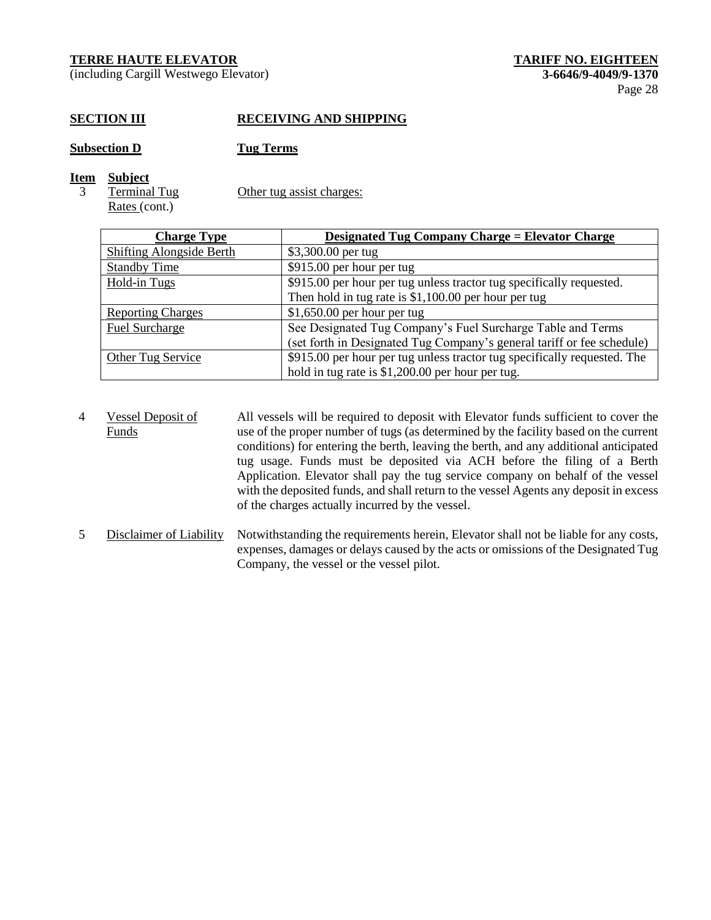(including Cargill Westwego Elevator) **3-6646/9-4049/9-1370**

# **SECTION III RECEIVING AND SHIPPING**

**Subsection D Tug Terms**

- **Item Subject**
	- 3 Terminal Tug Rates (cont.)

Other tug assist charges:

| <b>Charge Type</b>              | <b>Designated Tug Company Charge = Elevator Charge</b>                   |
|---------------------------------|--------------------------------------------------------------------------|
| <b>Shifting Alongside Berth</b> | \$3,300.00 per tug                                                       |
| <b>Standby Time</b>             | \$915.00 per hour per tug                                                |
| Hold-in Tugs                    | \$915.00 per hour per tug unless tractor tug specifically requested.     |
|                                 | Then hold in tug rate is \$1,100.00 per hour per tug                     |
| <b>Reporting Charges</b>        | $$1,650.00$ per hour per tug                                             |
| <b>Fuel Surcharge</b>           | See Designated Tug Company's Fuel Surcharge Table and Terms              |
|                                 | (set forth in Designated Tug Company's general tariff or fee schedule)   |
| Other Tug Service               | \$915.00 per hour per tug unless tractor tug specifically requested. The |
|                                 | hold in tug rate is \$1,200.00 per hour per tug.                         |

4 Vessel Deposit of Funds All vessels will be required to deposit with Elevator funds sufficient to cover the use of the proper number of tugs (as determined by the facility based on the current conditions) for entering the berth, leaving the berth, and any additional anticipated tug usage. Funds must be deposited via ACH before the filing of a Berth Application. Elevator shall pay the tug service company on behalf of the vessel with the deposited funds, and shall return to the vessel Agents any deposit in excess of the charges actually incurred by the vessel.

5 Disclaimer of Liability Notwithstanding the requirements herein, Elevator shall not be liable for any costs, expenses, damages or delays caused by the acts or omissions of the Designated Tug Company, the vessel or the vessel pilot.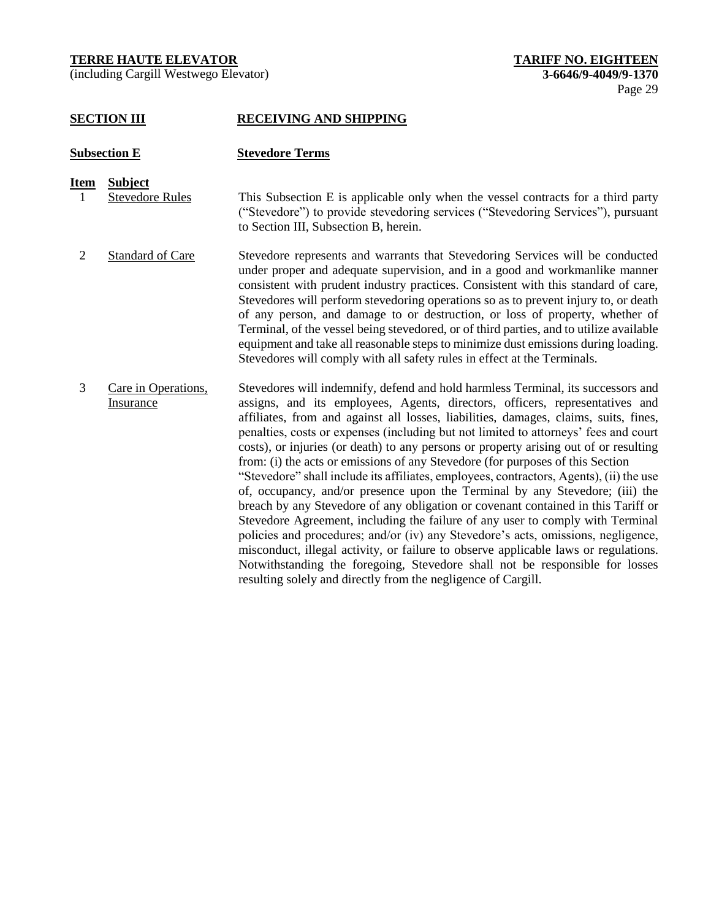(including Cargill Westwego Elevator) **3-6646/9-4049/9-1370**

# **SECTION III RECEIVING AND SHIPPING**

# **Subsection E Stevedore Terms**

# **Item Subject**

1 Stevedore Rules This Subsection E is applicable only when the vessel contracts for a third party ("Stevedore") to provide stevedoring services ("Stevedoring Services"), pursuant to Section III, Subsection B, herein.

- 2 Standard of Care Stevedore represents and warrants that Stevedoring Services will be conducted under proper and adequate supervision, and in a good and workmanlike manner consistent with prudent industry practices. Consistent with this standard of care, Stevedores will perform stevedoring operations so as to prevent injury to, or death of any person, and damage to or destruction, or loss of property, whether of Terminal, of the vessel being stevedored, or of third parties, and to utilize available equipment and take all reasonable steps to minimize dust emissions during loading. Stevedores will comply with all safety rules in effect at the Terminals.
- 3 Care in Operations, **Insurance** Stevedores will indemnify, defend and hold harmless Terminal, its successors and assigns, and its employees, Agents, directors, officers, representatives and affiliates, from and against all losses, liabilities, damages, claims, suits, fines, penalties, costs or expenses (including but not limited to attorneys' fees and court costs), or injuries (or death) to any persons or property arising out of or resulting from: (i) the acts or emissions of any Stevedore (for purposes of this Section "Stevedore" shall include its affiliates, employees, contractors, Agents), (ii) the use of, occupancy, and/or presence upon the Terminal by any Stevedore; (iii) the breach by any Stevedore of any obligation or covenant contained in this Tariff or Stevedore Agreement, including the failure of any user to comply with Terminal policies and procedures; and/or (iv) any Stevedore's acts, omissions, negligence, misconduct, illegal activity, or failure to observe applicable laws or regulations. Notwithstanding the foregoing, Stevedore shall not be responsible for losses resulting solely and directly from the negligence of Cargill.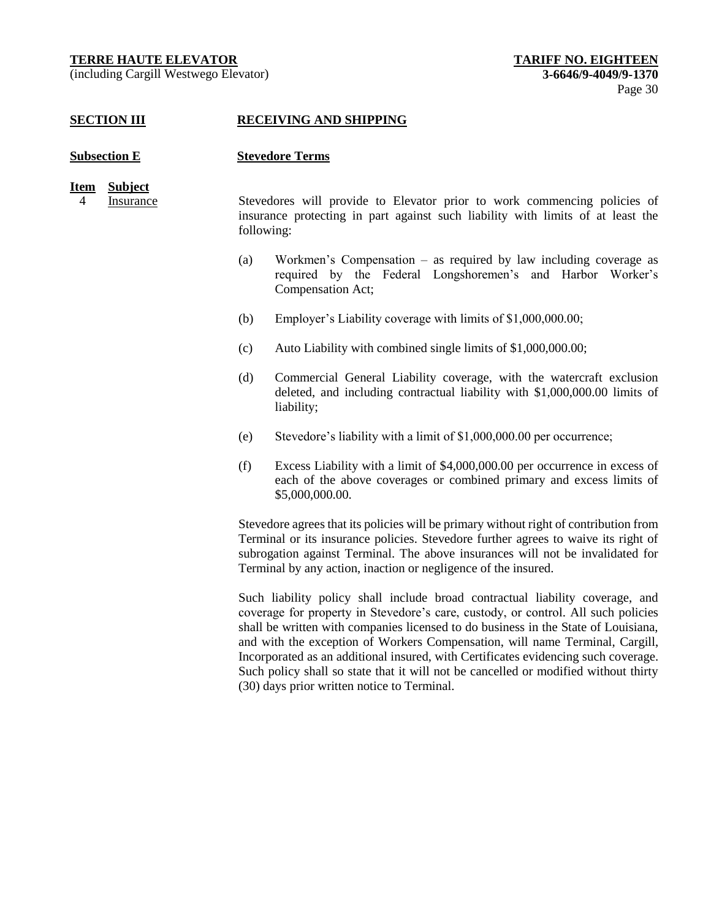(including Cargill Westwego Elevator) **3-6646/9-4049/9-1370**

#### **SECTION III RECEIVING AND SHIPPING**

#### **Subsection E Stevedore Terms**

# **Item Subject**

4 Insurance Stevedores will provide to Elevator prior to work commencing policies of insurance protecting in part against such liability with limits of at least the following:

- (a) Workmen's Compensation as required by law including coverage as required by the Federal Longshoremen's and Harbor Worker's Compensation Act;
- (b) Employer's Liability coverage with limits of \$1,000,000.00;
- (c) Auto Liability with combined single limits of \$1,000,000.00;
- (d) Commercial General Liability coverage, with the watercraft exclusion deleted, and including contractual liability with \$1,000,000.00 limits of liability;
- (e) Stevedore's liability with a limit of \$1,000,000.00 per occurrence;
- (f) Excess Liability with a limit of \$4,000,000.00 per occurrence in excess of each of the above coverages or combined primary and excess limits of \$5,000,000.00.

Stevedore agrees that its policies will be primary without right of contribution from Terminal or its insurance policies. Stevedore further agrees to waive its right of subrogation against Terminal. The above insurances will not be invalidated for Terminal by any action, inaction or negligence of the insured.

Such liability policy shall include broad contractual liability coverage, and coverage for property in Stevedore's care, custody, or control. All such policies shall be written with companies licensed to do business in the State of Louisiana, and with the exception of Workers Compensation, will name Terminal, Cargill, Incorporated as an additional insured, with Certificates evidencing such coverage. Such policy shall so state that it will not be cancelled or modified without thirty (30) days prior written notice to Terminal.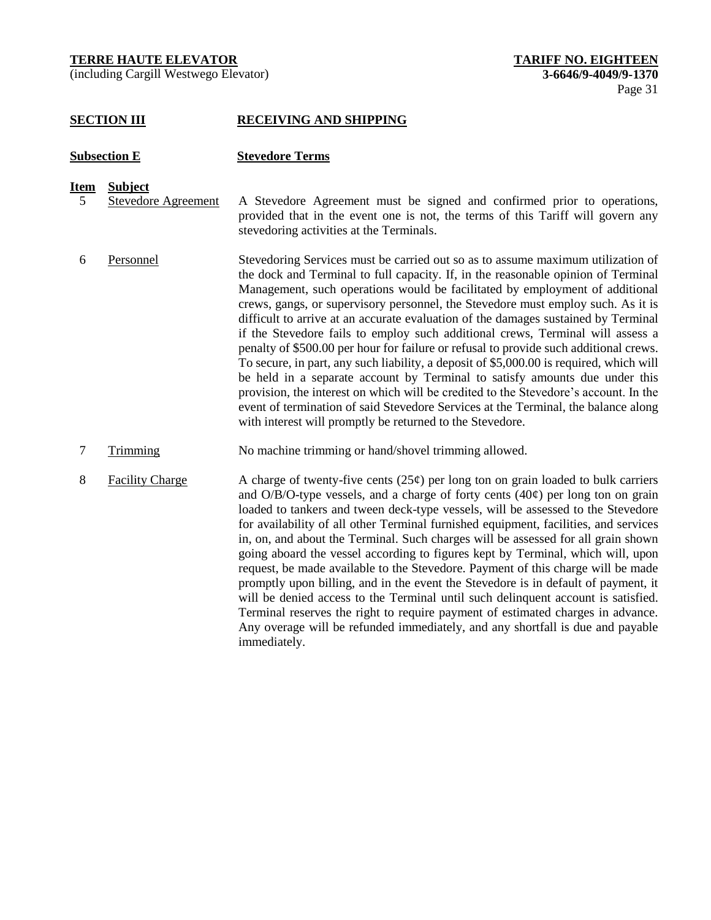(including Cargill Westwego Elevator) **3-6646/9-4049/9-1370**

# **SECTION III RECEIVING AND SHIPPING**

#### **Subsection E Stevedore Terms**

#### **Item Subject**

- 5 Stevedore Agreement A Stevedore Agreement must be signed and confirmed prior to operations, provided that in the event one is not, the terms of this Tariff will govern any stevedoring activities at the Terminals.
- 6 Personnel Stevedoring Services must be carried out so as to assume maximum utilization of the dock and Terminal to full capacity. If, in the reasonable opinion of Terminal Management, such operations would be facilitated by employment of additional crews, gangs, or supervisory personnel, the Stevedore must employ such. As it is difficult to arrive at an accurate evaluation of the damages sustained by Terminal if the Stevedore fails to employ such additional crews, Terminal will assess a penalty of \$500.00 per hour for failure or refusal to provide such additional crews. To secure, in part, any such liability, a deposit of \$5,000.00 is required, which will be held in a separate account by Terminal to satisfy amounts due under this provision, the interest on which will be credited to the Stevedore's account. In the event of termination of said Stevedore Services at the Terminal, the balance along with interest will promptly be returned to the Stevedore.
- 7 Trimming No machine trimming or hand/shovel trimming allowed.
- 8 Facility Charge A charge of twenty-five cents  $(25¢)$  per long ton on grain loaded to bulk carriers and  $O/B/O$ -type vessels, and a charge of forty cents  $(40¢)$  per long ton on grain loaded to tankers and tween deck-type vessels, will be assessed to the Stevedore for availability of all other Terminal furnished equipment, facilities, and services in, on, and about the Terminal. Such charges will be assessed for all grain shown going aboard the vessel according to figures kept by Terminal, which will, upon request, be made available to the Stevedore. Payment of this charge will be made promptly upon billing, and in the event the Stevedore is in default of payment, it will be denied access to the Terminal until such delinquent account is satisfied. Terminal reserves the right to require payment of estimated charges in advance. Any overage will be refunded immediately, and any shortfall is due and payable immediately.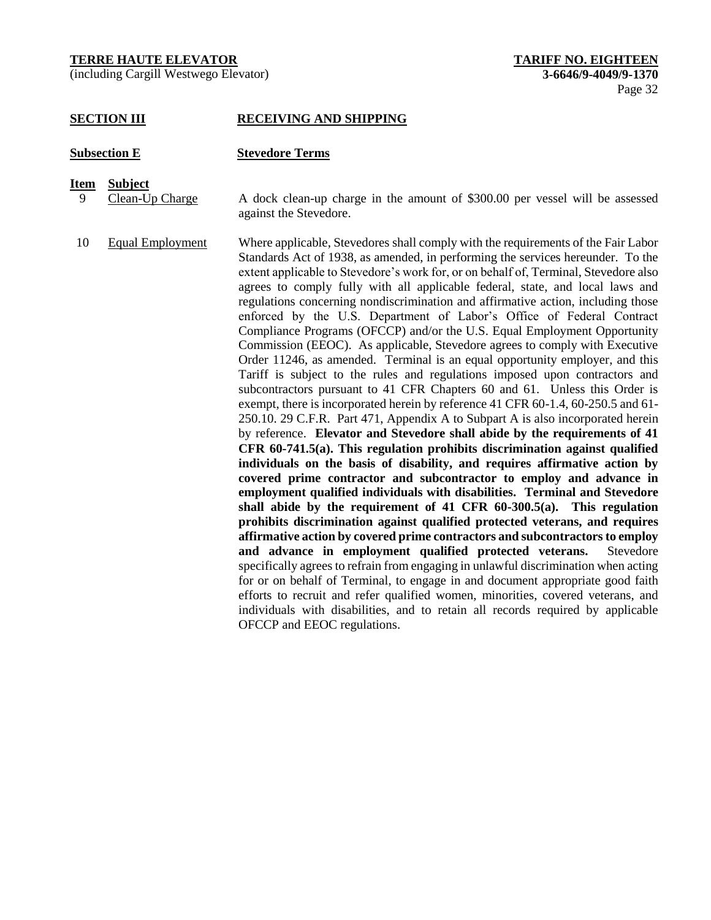(including Cargill Westwego Elevator) **3-6646/9-4049/9-1370**

# **SECTION III RECEIVING AND SHIPPING**

#### **Subsection E Stevedore Terms**

#### **Item Subject**

- 9 Clean-Up Charge A dock clean-up charge in the amount of \$300.00 per vessel will be assessed against the Stevedore.
- 10 Equal Employment Where applicable, Stevedores shall comply with the requirements of the Fair Labor Standards Act of 1938, as amended, in performing the services hereunder. To the extent applicable to Stevedore's work for, or on behalf of, Terminal, Stevedore also agrees to comply fully with all applicable federal, state, and local laws and regulations concerning nondiscrimination and affirmative action, including those enforced by the U.S. Department of Labor's Office of Federal Contract Compliance Programs (OFCCP) and/or the U.S. Equal Employment Opportunity Commission (EEOC). As applicable, Stevedore agrees to comply with Executive Order 11246, as amended. Terminal is an equal opportunity employer, and this Tariff is subject to the rules and regulations imposed upon contractors and subcontractors pursuant to 41 CFR Chapters 60 and 61. Unless this Order is exempt, there is incorporated herein by reference 41 CFR 60-1.4, 60-250.5 and 61- 250.10. 29 C.F.R. Part 471, Appendix A to Subpart A is also incorporated herein by reference. **Elevator and Stevedore shall abide by the requirements of 41 CFR 60-741.5(a). This regulation prohibits discrimination against qualified individuals on the basis of disability, and requires affirmative action by covered prime contractor and subcontractor to employ and advance in employment qualified individuals with disabilities. Terminal and Stevedore shall abide by the requirement of 41 CFR 60-300.5(a). This regulation prohibits discrimination against qualified protected veterans, and requires affirmative action by covered prime contractors and subcontractors to employ and advance in employment qualified protected veterans.** Stevedore specifically agrees to refrain from engaging in unlawful discrimination when acting for or on behalf of Terminal, to engage in and document appropriate good faith efforts to recruit and refer qualified women, minorities, covered veterans, and individuals with disabilities, and to retain all records required by applicable OFCCP and EEOC regulations.